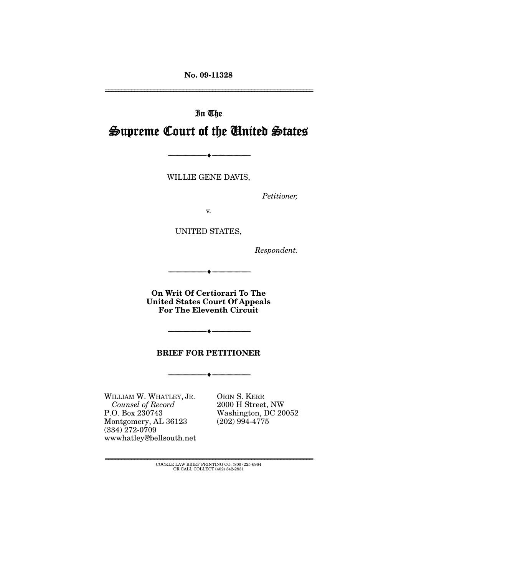**No. 09-11328** 

================================================================

# In The Supreme Court of the United States

WILLIE GENE DAVIS,

--------------------------------- ♦ ---------------------------------

*Petitioner,* 

v.

UNITED STATES,

*Respondent.* 

**On Writ Of Certiorari To The United States Court Of Appeals For The Eleventh Circuit** 

--------------------------------- ♦ ---------------------------------

#### **BRIEF FOR PETITIONER**

--------------------------------- ♦ ---------------------------------

 $-++$ 

WILLIAM W. WHATLEY, JR.  *Counsel of Record* P.O. Box 230743 Montgomery, AL 36123 (334) 272-0709 wwwhatley@bellsouth.net

ORIN S. KERR 2000 H Street, NW Washington, DC 20052 (202) 994-4775

================================================================ COCKLE LAW BRIEF PRINTING CO. (800) 225-6964 OR CALL COLLECT (402) 342-2831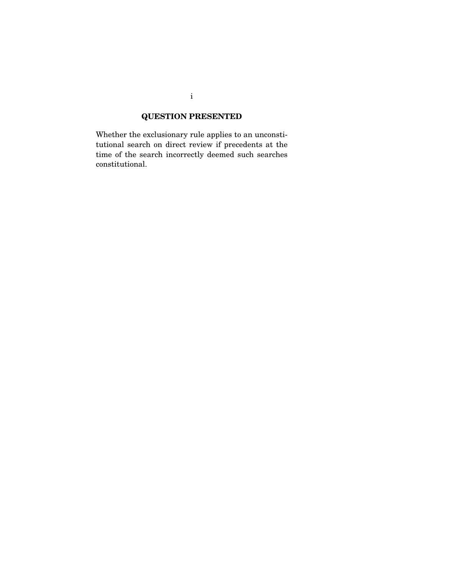## **QUESTION PRESENTED**

Whether the exclusionary rule applies to an unconstitutional search on direct review if precedents at the time of the search incorrectly deemed such searches constitutional.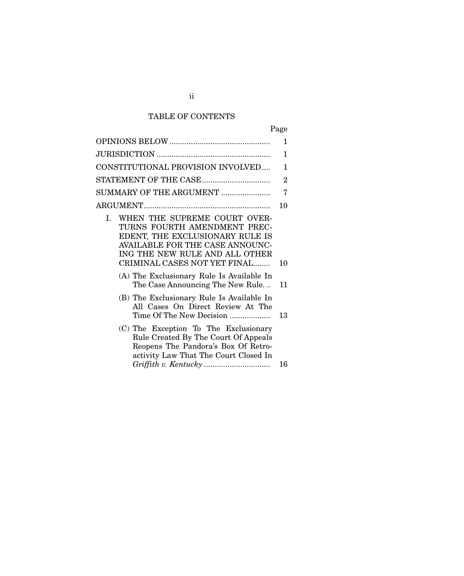## TABLE OF CONTENTS

| Page |
|------|
|------|

|                                                                                                                                                                                                                  | 1              |
|------------------------------------------------------------------------------------------------------------------------------------------------------------------------------------------------------------------|----------------|
|                                                                                                                                                                                                                  | 1              |
| CONSTITUTIONAL PROVISION INVOLVED                                                                                                                                                                                | 1              |
|                                                                                                                                                                                                                  | $\overline{2}$ |
| SUMMARY OF THE ARGUMENT                                                                                                                                                                                          | 7              |
|                                                                                                                                                                                                                  | 10             |
| WHEN THE SUPREME COURT OVER-<br>L<br>TURNS FOURTH AMENDMENT PREC-<br>EDENT, THE EXCLUSIONARY RULE IS<br><b>AVAILABLE FOR THE CASE ANNOUNC-</b><br>ING THE NEW RULE AND ALL OTHER<br>CRIMINAL CASES NOT YET FINAL | 10             |
| (A) The Exclusionary Rule Is Available In<br>The Case Announcing The New Rule                                                                                                                                    | 11             |
| (B) The Exclusionary Rule Is Available In<br>All Cases On Direct Review At The<br>Time Of The New Decision                                                                                                       | 13             |
| (C) The Exception To The Exclusionary<br>Rule Created By The Court Of Appeals<br>Reopens The Pandora's Box Of Retro-<br>activity Law That The Court Closed In                                                    | 16             |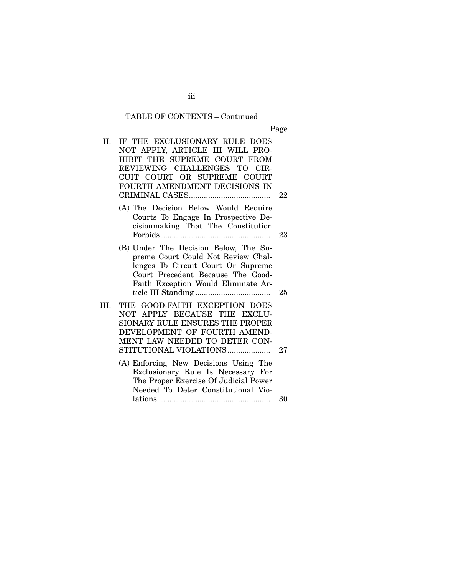## TABLE OF CONTENTS – Continued

Page

| II.  | IF THE EXCLUSIONARY RULE DOES                                                                                                                                                                 |    |
|------|-----------------------------------------------------------------------------------------------------------------------------------------------------------------------------------------------|----|
|      | NOT APPLY, ARTICLE III WILL PRO-                                                                                                                                                              |    |
|      | HIBIT THE SUPREME COURT FROM<br>REVIEWING CHALLENGES TO CIR-                                                                                                                                  |    |
|      | CUIT COURT OR SUPREME COURT                                                                                                                                                                   |    |
|      | FOURTH AMENDMENT DECISIONS IN                                                                                                                                                                 |    |
|      |                                                                                                                                                                                               | 22 |
|      | (A) The Decision Below Would Require<br>Courts To Engage In Prospective De-<br>cisionmaking That The Constitution                                                                             |    |
|      |                                                                                                                                                                                               | 23 |
|      | (B) Under The Decision Below, The Su-<br>preme Court Could Not Review Chal-<br>lenges To Circuit Court Or Supreme<br>Court Precedent Because The Good-<br>Faith Exception Would Eliminate Ar- | 25 |
| III. | THE GOOD-FAITH EXCEPTION DOES<br>NOT APPLY BECAUSE THE EXCLU-<br>SIONARY RULE ENSURES THE PROPER<br>DEVELOPMENT OF FOURTH AMEND-<br>MENT LAW NEEDED TO DETER CON-<br>STITUTIONAL VIOLATIONS   | 27 |
|      | (A) Enforcing New Decisions Using The<br>Exclusionary Rule Is Necessary For<br>The Proper Exercise Of Judicial Power<br>Needed To Deter Constitutional Vio-                                   |    |
|      |                                                                                                                                                                                               | 30 |

iii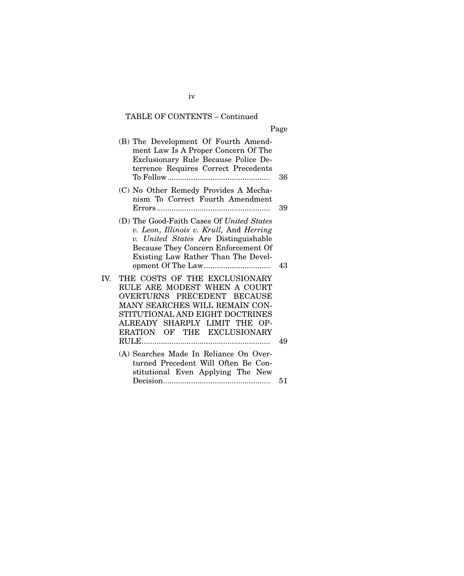## TABLE OF CONTENTS – Continued

| ×<br>I |
|--------|
|--------|

| (B) The Development Of Fourth Amend-<br>ment Law Is A Proper Concern Of The<br>Exclusionary Rule Because Police De-<br>terrence Requires Correct Precedents                                                                              | 36 |
|------------------------------------------------------------------------------------------------------------------------------------------------------------------------------------------------------------------------------------------|----|
| (C) No Other Remedy Provides A Mecha-<br>nism To Correct Fourth Amendment                                                                                                                                                                | 39 |
| (D) The Good-Faith Cases Of United States<br>v. Leon, Illinois v. Krull, And Herring<br>v. United States Are Distinguishable<br>Because They Concern Enforcement Of<br>Existing Law Rather Than The Devel-                               | 43 |
| THE COSTS OF THE EXCLUSIONARY<br>IV.<br>RULE ARE MODEST WHEN A COURT<br>OVERTURNS PRECEDENT BECAUSE<br>MANY SEARCHES WILL REMAIN CON-<br>STITUTIONAL AND EIGHT DOCTRINES<br>ALREADY SHARPLY LIMIT THE OP-<br>ERATION OF THE EXCLUSIONARY | 49 |
| (A) Searches Made In Reliance On Over-<br>turned Precedent Will Often Be Con-<br>stitutional Even Applying The New                                                                                                                       | 51 |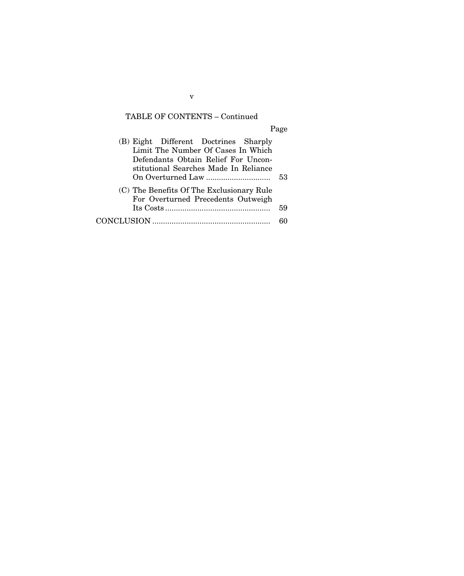## TABLE OF CONTENTS – Continued

Page

| (B) Eight Different Doctrines Sharply<br>Limit The Number Of Cases In Which<br>Defendants Obtain Relief For Uncon-<br>stitutional Searches Made In Reliance | 53 |
|-------------------------------------------------------------------------------------------------------------------------------------------------------------|----|
| (C) The Benefits Of The Exclusionary Rule<br>For Overturned Precedents Outweigh                                                                             | 59 |
|                                                                                                                                                             | ዳበ |

v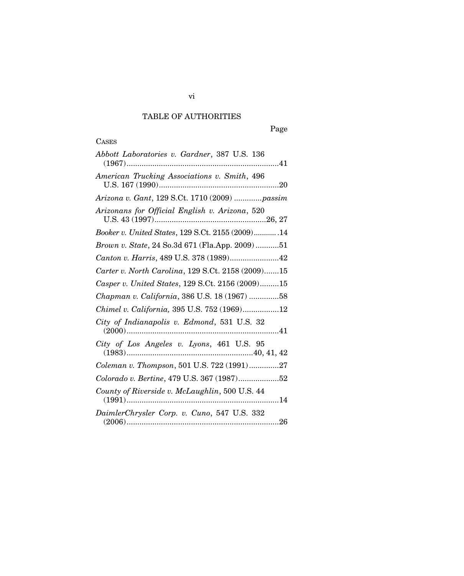## TABLE OF AUTHORITIES

## **CASES**

| Abbott Laboratories v. Gardner, 387 U.S. 136          |
|-------------------------------------------------------|
| American Trucking Associations v. Smith, 496          |
| Arizona v. Gant, 129 S.Ct. 1710 (2009) passim         |
| Arizonans for Official English v. Arizona, 520        |
| Booker v. United States, 129 S.Ct. 2155 (2009) 14     |
| <i>Brown v. State, 24 So.3d 671 (Fla.App. 2009)51</i> |
| Canton v. Harris, 489 U.S. 378 (1989)42               |
| Carter v. North Carolina, 129 S.Ct. 2158 (2009)15     |
| Casper v. United States, 129 S.Ct. 2156 (2009)15      |
| Chapman v. California, 386 U.S. 18 (1967) 58          |
| Chimel v. California, 395 U.S. 752 (1969)12           |
| City of Indianapolis v. Edmond, 531 U.S. 32           |
| City of Los Angeles v. Lyons, 461 U.S. 95             |
| Coleman v. Thompson, 501 U.S. 722 (1991)27            |
| Colorado v. Bertine, 479 U.S. 367 (1987)52            |
| County of Riverside v. McLaughlin, 500 U.S. 44        |
| DaimlerChrysler Corp. v. Cuno, 547 U.S. 332           |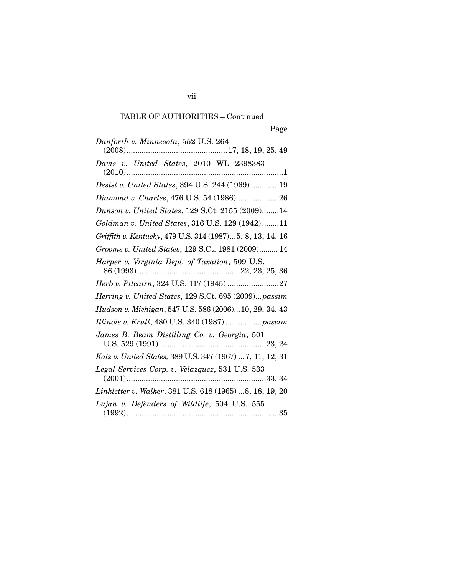| Danforth v. Minnesota, 552 U.S. 264                       |
|-----------------------------------------------------------|
|                                                           |
| Davis v. United States, 2010 WL 2398383                   |
| Desist v. United States, 394 U.S. 244 (1969) 19           |
| Diamond v. Charles, 476 U.S. 54 (1986)26                  |
| Dunson v. United States, 129 S.Ct. 2155 (2009)14          |
| Goldman v. United States, 316 U.S. 129 (1942)11           |
| Griffith v. Kentucky, 479 U.S. 314 (1987)5, 8, 13, 14, 16 |
| Grooms v. United States, 129 S.Ct. 1981 (2009) 14         |
| Harper v. Virginia Dept. of Taxation, 509 U.S.            |
| Herb v. Pitcairn, 324 U.S. 117 (1945) 27                  |
| Herring v. United States, 129 S.Ct. 695 (2009)passim      |
| Hudson v. Michigan, 547 U.S. 586 (2006)10, 29, 34, 43     |
| Illinois v. Krull, 480 U.S. 340 (1987)  passim            |
| James B. Beam Distilling Co. v. Georgia, 501              |
| Katz v. United States, 389 U.S. 347 (1967)  7, 11, 12, 31 |
|                                                           |
| Linkletter v. Walker, 381 U.S. 618 (1965) 8, 18, 19, 20   |
| Lujan v. Defenders of Wildlife, 504 U.S. 555              |

vii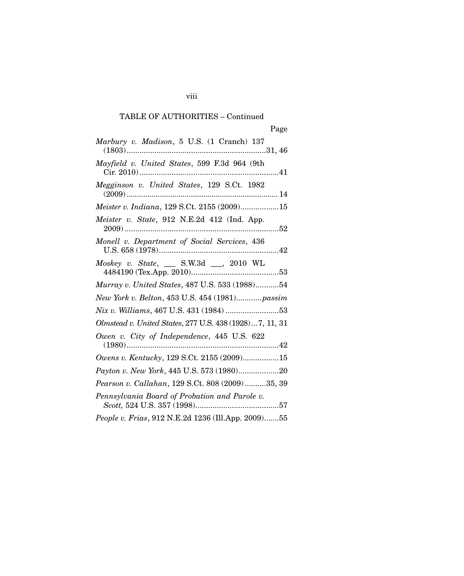viii

| Marbury v. Madison, 5 U.S. (1 Cranch) 137               |
|---------------------------------------------------------|
| Mayfield v. United States, 599 F.3d 964 (9th            |
| Megginson v. United States, 129 S.Ct. 1982              |
| Meister v. Indiana, 129 S.Ct. 2155 (2009)15             |
| Meister v. State, 912 N.E.2d 412 (Ind. App.             |
| Monell v. Department of Social Services, 436            |
| Moskey v. State, __ S.W.3d __, 2010 WL                  |
| Murray v. United States, 487 U.S. 533 (1988)54          |
| New York v. Belton, 453 U.S. 454 (1981)passim           |
| Nix v. Williams, 467 U.S. 431 (1984) 53                 |
| Olmstead v. United States, 277 U.S. 438 (1928)7, 11, 31 |
| Owen v. City of Independence, 445 U.S. 622<br>$(1980)$  |
| Owens v. Kentucky, 129 S.Ct. 2155 (2009)15              |
| Payton v. New York, 445 U.S. 573 (1980)20               |
| Pearson v. Callahan, 129 S.Ct. 808 (2009)35, 39         |
| Pennsylvania Board of Probation and Parole v.           |
| People v. Frias, 912 N.E.2d 1236 (Ill.App. 2009)55      |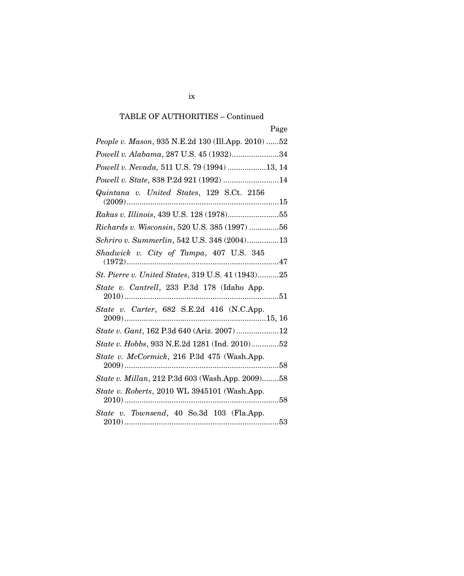| People v. Mason, 935 N.E.2d 130 (Ill.App. 2010) 52 |
|----------------------------------------------------|
| Powell v. Alabama, 287 U.S. 45 (1932)34            |
| Powell v. Nevada, 511 U.S. 79 (1994) 13, 14        |
| Powell v. State, 838 P.2d 921 (1992) 14            |
| Quintana v. United States, 129 S.Ct. 2156          |
| Rakas v. Illinois, 439 U.S. 128 (1978)55           |
| Richards v. Wisconsin, 520 U.S. 385 (1997) 56      |
| Schriro v. Summerlin, 542 U.S. 348 (2004)13        |
|                                                    |
| St. Pierre v. United States, 319 U.S. 41 (1943)25  |
| State v. Cantrell, 233 P.3d 178 (Idaho App.        |
| State v. Carter, 682 S.E.2d 416 (N.C.App.          |
| State v. Gant, 162 P.3d 640 (Ariz. 2007) 12        |
| State v. Hobbs, 933 N.E.2d 1281 (Ind. 2010)52      |
| State v. McCormick, 216 P.3d 475 (Wash.App.        |
| State v. Millan, 212 P.3d 603 (Wash.App. 2009)58   |
| State v. Roberts, 2010 WL 3945101 (Wash.App.       |
| State v. Townsend, 40 So.3d 103 (Fla.App.          |

ix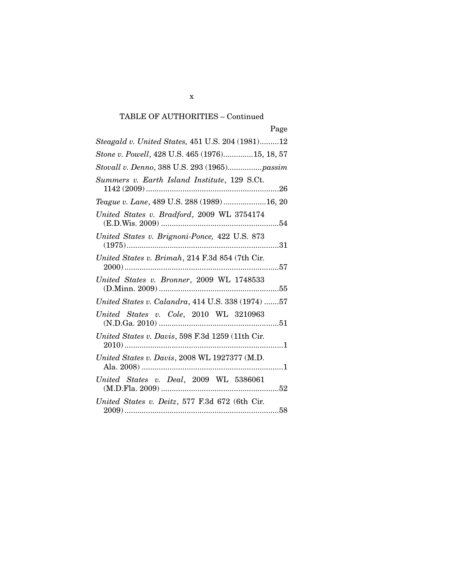| Steagald v. United States, 451 U.S. 204 (1981)12  |
|---------------------------------------------------|
| Stone v. Powell, 428 U.S. 465 (1976)15, 18, 57    |
| Stovall v. Denno, 388 U.S. 293 (1965)passim       |
| Summers v. Earth Island Institute, 129 S.Ct.      |
| Teague v. Lane, 489 U.S. 288 (1989)16, 20         |
| United States v. Bradford, 2009 WL 3754174        |
| United States v. Brignoni-Ponce, 422 U.S. 873     |
| United States v. Brimah, 214 F.3d 854 (7th Cir.   |
| United States v. Bronner, 2009 WL 1748533         |
| United States v. Calandra, 414 U.S. 338 (1974) 57 |
| United States v. Cole, 2010 WL 3210963            |
| United States v. Davis, 598 F.3d 1259 (11th Cir.  |
| United States v. Davis, 2008 WL 1927377 (M.D.     |
| United States v. Deal, 2009 WL 5386061            |
| United States v. Deitz, 577 F.3d 672 (6th Cir.    |

x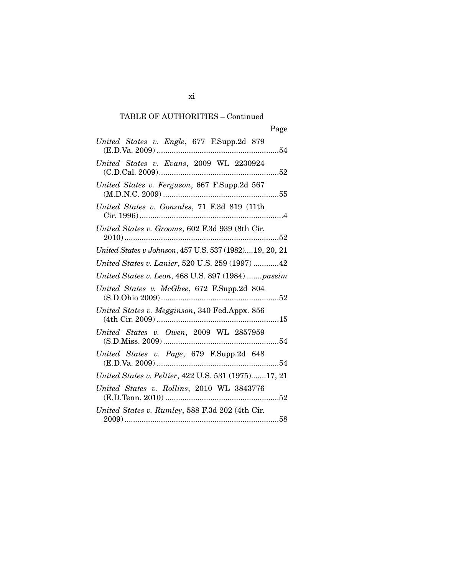| United States v. Engle, 677 F.Supp.2d 879              |
|--------------------------------------------------------|
| United States v. Evans, 2009 WL 2230924                |
| United States v. Ferguson, 667 F.Supp.2d 567           |
| United States v. Gonzales, 71 F.3d 819 (11th           |
| United States v. Grooms, 602 F.3d 939 (8th Cir.        |
| United States v Johnson, 457 U.S. 537 (1982)19, 20, 21 |
| United States v. Lanier, 520 U.S. 259 (1997) 42        |
| United States v. Leon, 468 U.S. 897 (1984)  passim     |
| United States v. McGhee, 672 F.Supp.2d 804             |
| United States v. Megginson, 340 Fed.Appx. 856          |
| United States v. Owen, 2009 WL 2857959                 |
| United States v. Page, 679 F.Supp.2d 648               |
| United States v. Peltier, 422 U.S. 531 (1975)17, 21    |
| United States v. Rollins, 2010 WL 3843776              |
| United States v. Rumley, 588 F.3d 202 (4th Cir.        |

xi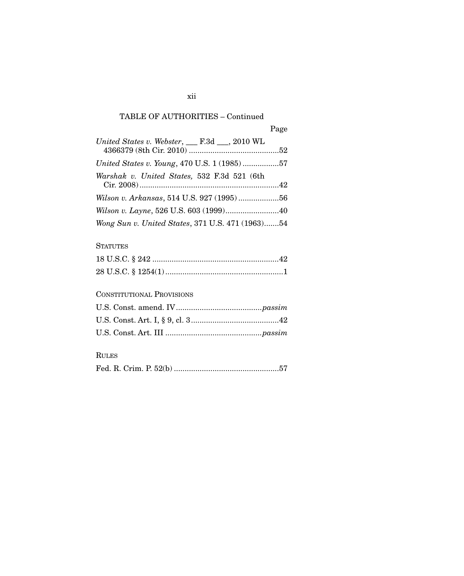| Page |
|------|
|------|

| United States v. Webster, $\_\_$ F.3d $\_\_$ , 2010 WL |  |
|--------------------------------------------------------|--|
| United States v. Young, 470 U.S. 1 (1985) 57           |  |
| Warshak v. United States, 532 F.3d 521 (6th            |  |
|                                                        |  |
|                                                        |  |
| Wong Sun v. United States, 371 U.S. 471 (1963)54       |  |

#### **STATUTES**

## CONSTITUTIONAL PROVISIONS

## RULES

|--|--|--|--|--|--|--|

### xii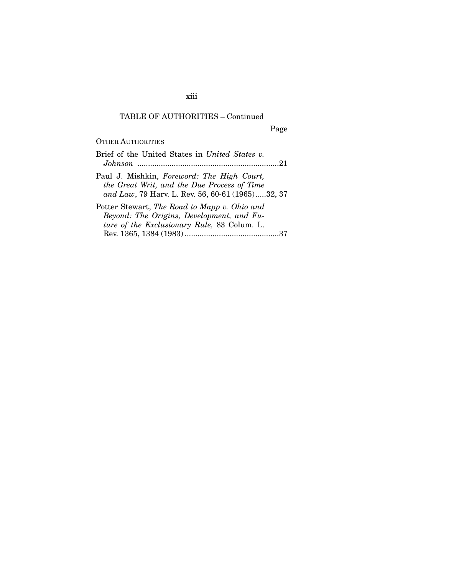xiii

## TABLE OF AUTHORITIES – Continued

Page

#### OTHER AUTHORITIES

| Brief of the United States in United States v.<br>-21                                                                                         |
|-----------------------------------------------------------------------------------------------------------------------------------------------|
| Paul J. Mishkin, Foreword: The High Court,<br>the Great Writ, and the Due Process of Time<br>and Law, 79 Harv. L. Rev. 56, 60-61 (1965)32, 37 |
| Potter Stewart, The Road to Mapp v. Ohio and                                                                                                  |
| Beyond: The Origins, Development, and Fu-                                                                                                     |
| ture of the Exclusionary Rule, 83 Colum. L.                                                                                                   |
|                                                                                                                                               |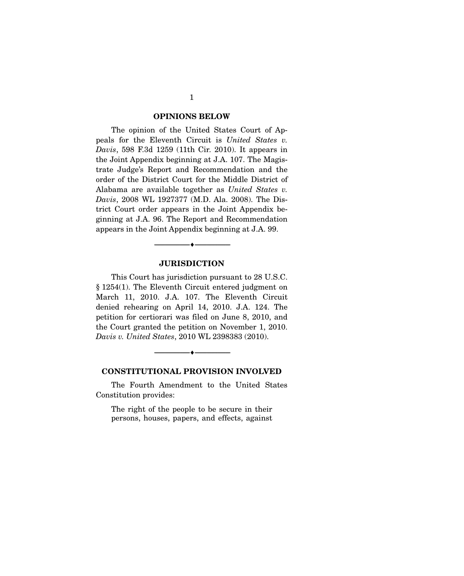#### **OPINIONS BELOW**

The opinion of the United States Court of Appeals for the Eleventh Circuit is *United States v. Davis*, 598 F.3d 1259 (11th Cir. 2010). It appears in the Joint Appendix beginning at J.A. 107. The Magistrate Judge's Report and Recommendation and the order of the District Court for the Middle District of Alabama are available together as *United States v. Davis*, 2008 WL 1927377 (M.D. Ala. 2008). The District Court order appears in the Joint Appendix beginning at J.A. 96. The Report and Recommendation appears in the Joint Appendix beginning at J.A. 99.

#### **JURISDICTION**

--------------------------------- ♦ ---------------------------------

 This Court has jurisdiction pursuant to 28 U.S.C. § 1254(1). The Eleventh Circuit entered judgment on March 11, 2010. J.A. 107. The Eleventh Circuit denied rehearing on April 14, 2010. J.A. 124. The petition for certiorari was filed on June 8, 2010, and the Court granted the petition on November 1, 2010. *Davis v. United States*, 2010 WL 2398383 (2010).



#### **CONSTITUTIONAL PROVISION INVOLVED**

 The Fourth Amendment to the United States Constitution provides:

The right of the people to be secure in their persons, houses, papers, and effects, against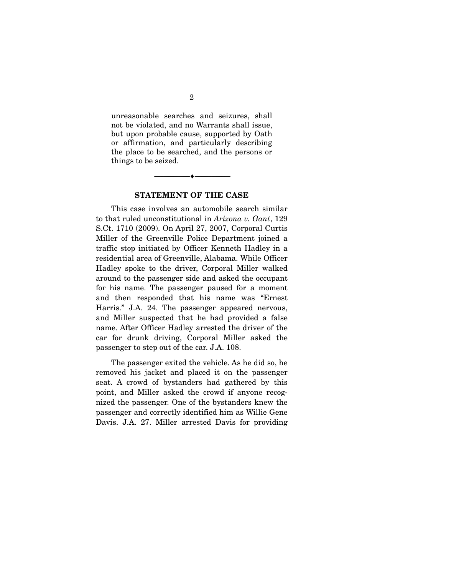unreasonable searches and seizures, shall not be violated, and no Warrants shall issue, but upon probable cause, supported by Oath or affirmation, and particularly describing the place to be searched, and the persons or things to be seized.

#### **STATEMENT OF THE CASE**

 $\overbrace{\hspace{2.5cm}}$   $\overbrace{\hspace{2.5cm}}$   $\overbrace{\hspace{2.5cm}}$ 

 This case involves an automobile search similar to that ruled unconstitutional in *Arizona v. Gant*, 129 S.Ct. 1710 (2009). On April 27, 2007, Corporal Curtis Miller of the Greenville Police Department joined a traffic stop initiated by Officer Kenneth Hadley in a residential area of Greenville, Alabama. While Officer Hadley spoke to the driver, Corporal Miller walked around to the passenger side and asked the occupant for his name. The passenger paused for a moment and then responded that his name was "Ernest Harris." J.A. 24. The passenger appeared nervous, and Miller suspected that he had provided a false name. After Officer Hadley arrested the driver of the car for drunk driving, Corporal Miller asked the passenger to step out of the car. J.A. 108.

 The passenger exited the vehicle. As he did so, he removed his jacket and placed it on the passenger seat. A crowd of bystanders had gathered by this point, and Miller asked the crowd if anyone recognized the passenger. One of the bystanders knew the passenger and correctly identified him as Willie Gene Davis. J.A. 27. Miller arrested Davis for providing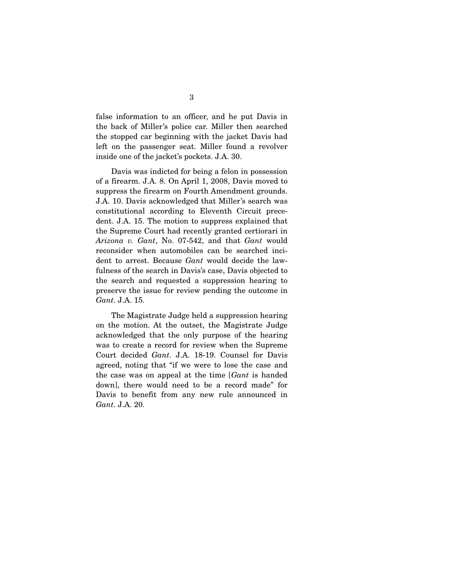false information to an officer, and he put Davis in the back of Miller's police car. Miller then searched the stopped car beginning with the jacket Davis had left on the passenger seat. Miller found a revolver inside one of the jacket's pockets. J.A. 30.

 Davis was indicted for being a felon in possession of a firearm. J.A. 8. On April 1, 2008, Davis moved to suppress the firearm on Fourth Amendment grounds. J.A. 10. Davis acknowledged that Miller's search was constitutional according to Eleventh Circuit precedent. J.A. 15. The motion to suppress explained that the Supreme Court had recently granted certiorari in *Arizona v. Gant*, No. 07-542, and that *Gant* would reconsider when automobiles can be searched incident to arrest. Because *Gant* would decide the lawfulness of the search in Davis's case, Davis objected to the search and requested a suppression hearing to preserve the issue for review pending the outcome in *Gant*. J.A. 15.

 The Magistrate Judge held a suppression hearing on the motion. At the outset, the Magistrate Judge acknowledged that the only purpose of the hearing was to create a record for review when the Supreme Court decided *Gant*. J.A. 18-19. Counsel for Davis agreed, noting that "if we were to lose the case and the case was on appeal at the time [*Gant* is handed down], there would need to be a record made" for Davis to benefit from any new rule announced in *Gant*. J.A. 20.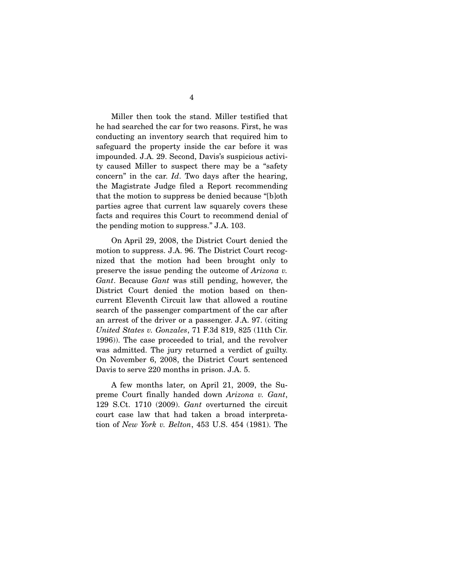Miller then took the stand. Miller testified that he had searched the car for two reasons. First, he was conducting an inventory search that required him to safeguard the property inside the car before it was impounded. J.A. 29. Second, Davis's suspicious activity caused Miller to suspect there may be a "safety concern" in the car. *Id*. Two days after the hearing, the Magistrate Judge filed a Report recommending that the motion to suppress be denied because "[b]oth parties agree that current law squarely covers these facts and requires this Court to recommend denial of the pending motion to suppress." J.A. 103.

 On April 29, 2008, the District Court denied the motion to suppress. J.A. 96. The District Court recognized that the motion had been brought only to preserve the issue pending the outcome of *Arizona v. Gant*. Because *Gant* was still pending, however, the District Court denied the motion based on thencurrent Eleventh Circuit law that allowed a routine search of the passenger compartment of the car after an arrest of the driver or a passenger. J.A. 97. (citing *United States v. Gonzales*, 71 F.3d 819, 825 (11th Cir. 1996)). The case proceeded to trial, and the revolver was admitted. The jury returned a verdict of guilty. On November 6, 2008, the District Court sentenced Davis to serve 220 months in prison. J.A. 5.

 A few months later, on April 21, 2009, the Supreme Court finally handed down *Arizona v. Gant*, 129 S.Ct. 1710 (2009). *Gant* overturned the circuit court case law that had taken a broad interpretation of *New York v. Belton*, 453 U.S. 454 (1981). The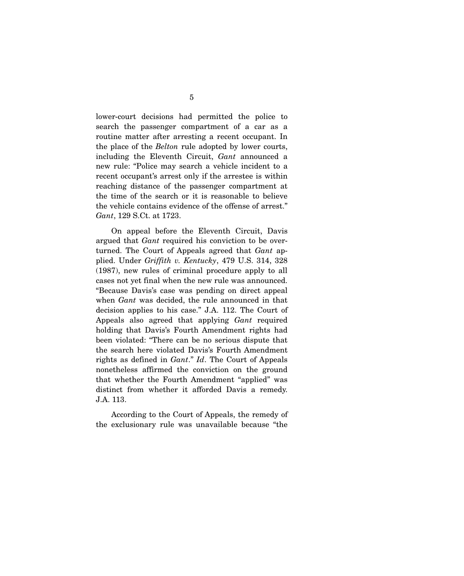lower-court decisions had permitted the police to search the passenger compartment of a car as a routine matter after arresting a recent occupant. In the place of the *Belton* rule adopted by lower courts, including the Eleventh Circuit, *Gant* announced a new rule: "Police may search a vehicle incident to a recent occupant's arrest only if the arrestee is within reaching distance of the passenger compartment at the time of the search or it is reasonable to believe the vehicle contains evidence of the offense of arrest." *Gant*, 129 S.Ct. at 1723.

 On appeal before the Eleventh Circuit, Davis argued that *Gant* required his conviction to be overturned. The Court of Appeals agreed that *Gant* applied. Under *Griffith v. Kentucky*, 479 U.S. 314, 328 (1987), new rules of criminal procedure apply to all cases not yet final when the new rule was announced. "Because Davis's case was pending on direct appeal when *Gant* was decided, the rule announced in that decision applies to his case." J.A. 112. The Court of Appeals also agreed that applying *Gant* required holding that Davis's Fourth Amendment rights had been violated: "There can be no serious dispute that the search here violated Davis's Fourth Amendment rights as defined in *Gant*." *Id*. The Court of Appeals nonetheless affirmed the conviction on the ground that whether the Fourth Amendment "applied" was distinct from whether it afforded Davis a remedy. J.A. 113.

 According to the Court of Appeals, the remedy of the exclusionary rule was unavailable because "the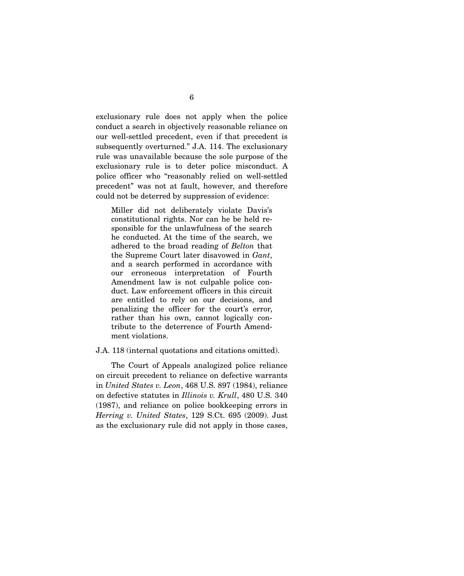exclusionary rule does not apply when the police conduct a search in objectively reasonable reliance on our well-settled precedent, even if that precedent is subsequently overturned." J.A. 114. The exclusionary rule was unavailable because the sole purpose of the exclusionary rule is to deter police misconduct. A police officer who "reasonably relied on well-settled precedent" was not at fault, however, and therefore could not be deterred by suppression of evidence:

Miller did not deliberately violate Davis's constitutional rights. Nor can he be held responsible for the unlawfulness of the search he conducted. At the time of the search, we adhered to the broad reading of *Belton* that the Supreme Court later disavowed in *Gant*, and a search performed in accordance with our erroneous interpretation of Fourth Amendment law is not culpable police conduct. Law enforcement officers in this circuit are entitled to rely on our decisions, and penalizing the officer for the court's error, rather than his own, cannot logically contribute to the deterrence of Fourth Amendment violations.

J.A. 118 (internal quotations and citations omitted).

 The Court of Appeals analogized police reliance on circuit precedent to reliance on defective warrants in *United States v. Leon*, 468 U.S. 897 (1984), reliance on defective statutes in *Illinois v. Krull*, 480 U.S. 340 (1987), and reliance on police bookkeeping errors in *Herring v. United States*, 129 S.Ct. 695 (2009). Just as the exclusionary rule did not apply in those cases,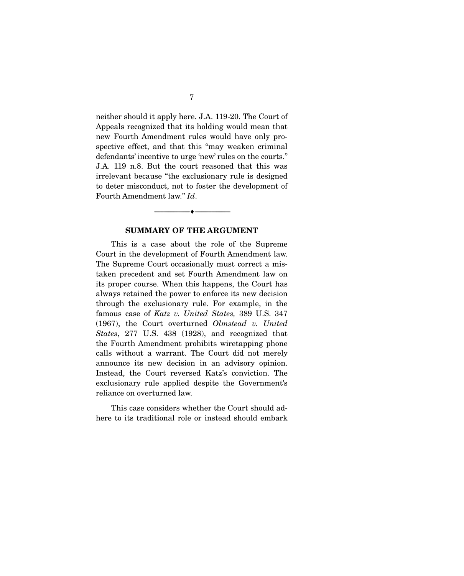neither should it apply here. J.A. 119-20. The Court of Appeals recognized that its holding would mean that new Fourth Amendment rules would have only prospective effect, and that this "may weaken criminal defendants' incentive to urge 'new' rules on the courts." J.A. 119 n.8. But the court reasoned that this was irrelevant because "the exclusionary rule is designed to deter misconduct, not to foster the development of Fourth Amendment law." *Id*.

#### **SUMMARY OF THE ARGUMENT**

 $\overbrace{\hspace{2.5cm}}$   $\overbrace{\hspace{2.5cm}}$   $\overbrace{\hspace{2.5cm}}$ 

 This is a case about the role of the Supreme Court in the development of Fourth Amendment law. The Supreme Court occasionally must correct a mistaken precedent and set Fourth Amendment law on its proper course. When this happens, the Court has always retained the power to enforce its new decision through the exclusionary rule. For example, in the famous case of *Katz v. United States,* 389 U.S. 347 (1967), the Court overturned *Olmstead v. United States*, 277 U.S. 438 (1928), and recognized that the Fourth Amendment prohibits wiretapping phone calls without a warrant. The Court did not merely announce its new decision in an advisory opinion. Instead, the Court reversed Katz's conviction. The exclusionary rule applied despite the Government's reliance on overturned law.

 This case considers whether the Court should adhere to its traditional role or instead should embark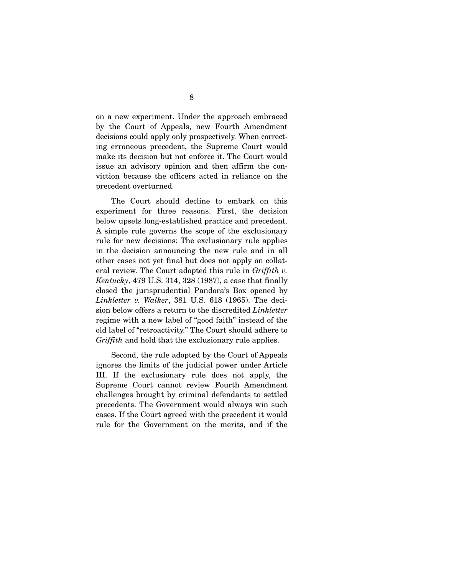on a new experiment. Under the approach embraced by the Court of Appeals, new Fourth Amendment decisions could apply only prospectively. When correcting erroneous precedent, the Supreme Court would make its decision but not enforce it. The Court would issue an advisory opinion and then affirm the conviction because the officers acted in reliance on the precedent overturned.

 The Court should decline to embark on this experiment for three reasons. First, the decision below upsets long-established practice and precedent. A simple rule governs the scope of the exclusionary rule for new decisions: The exclusionary rule applies in the decision announcing the new rule and in all other cases not yet final but does not apply on collateral review. The Court adopted this rule in *Griffith v. Kentucky*, 479 U.S. 314, 328 (1987), a case that finally closed the jurisprudential Pandora's Box opened by *Linkletter v. Walker*, 381 U.S. 618 (1965). The decision below offers a return to the discredited *Linkletter* regime with a new label of "good faith" instead of the old label of "retroactivity." The Court should adhere to *Griffith* and hold that the exclusionary rule applies.

 Second, the rule adopted by the Court of Appeals ignores the limits of the judicial power under Article III. If the exclusionary rule does not apply, the Supreme Court cannot review Fourth Amendment challenges brought by criminal defendants to settled precedents. The Government would always win such cases. If the Court agreed with the precedent it would rule for the Government on the merits, and if the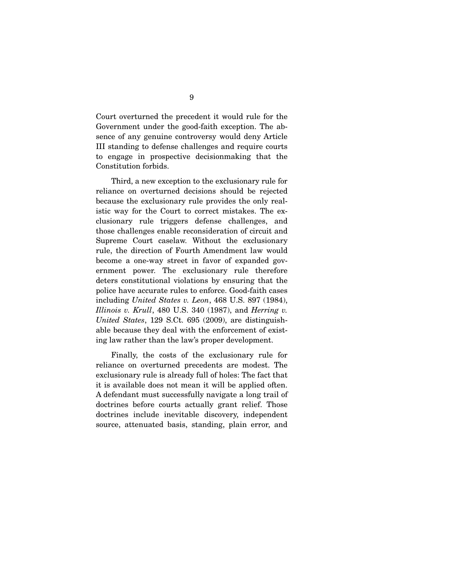Court overturned the precedent it would rule for the Government under the good-faith exception. The absence of any genuine controversy would deny Article III standing to defense challenges and require courts to engage in prospective decisionmaking that the Constitution forbids.

 Third, a new exception to the exclusionary rule for reliance on overturned decisions should be rejected because the exclusionary rule provides the only realistic way for the Court to correct mistakes. The exclusionary rule triggers defense challenges, and those challenges enable reconsideration of circuit and Supreme Court caselaw. Without the exclusionary rule, the direction of Fourth Amendment law would become a one-way street in favor of expanded government power. The exclusionary rule therefore deters constitutional violations by ensuring that the police have accurate rules to enforce. Good-faith cases including *United States v. Leon*, 468 U.S. 897 (1984), *Illinois v. Krull*, 480 U.S. 340 (1987), and *Herring v. United States*, 129 S.Ct. 695 (2009), are distinguishable because they deal with the enforcement of existing law rather than the law's proper development.

 Finally, the costs of the exclusionary rule for reliance on overturned precedents are modest. The exclusionary rule is already full of holes: The fact that it is available does not mean it will be applied often. A defendant must successfully navigate a long trail of doctrines before courts actually grant relief. Those doctrines include inevitable discovery, independent source, attenuated basis, standing, plain error, and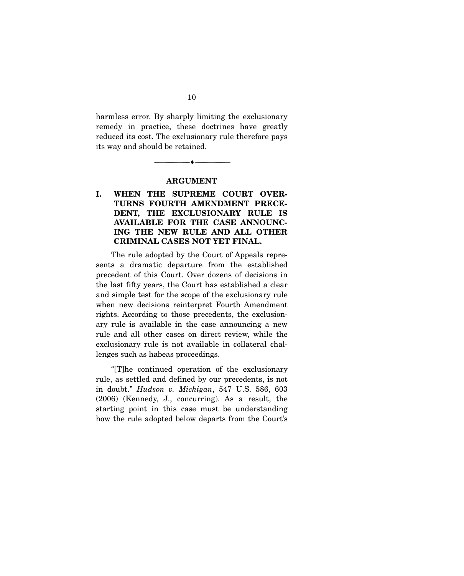harmless error. By sharply limiting the exclusionary remedy in practice, these doctrines have greatly reduced its cost. The exclusionary rule therefore pays its way and should be retained.

#### **ARGUMENT**

--------------------------------- ♦ ---------------------------------

**I. WHEN THE SUPREME COURT OVER-TURNS FOURTH AMENDMENT PRECE-DENT, THE EXCLUSIONARY RULE IS AVAILABLE FOR THE CASE ANNOUNC-ING THE NEW RULE AND ALL OTHER CRIMINAL CASES NOT YET FINAL.** 

The rule adopted by the Court of Appeals represents a dramatic departure from the established precedent of this Court. Over dozens of decisions in the last fifty years, the Court has established a clear and simple test for the scope of the exclusionary rule when new decisions reinterpret Fourth Amendment rights. According to those precedents, the exclusionary rule is available in the case announcing a new rule and all other cases on direct review, while the exclusionary rule is not available in collateral challenges such as habeas proceedings.

 "[T]he continued operation of the exclusionary rule, as settled and defined by our precedents, is not in doubt." *Hudson v. Michigan*, 547 U.S. 586, 603 (2006) (Kennedy, J., concurring). As a result, the starting point in this case must be understanding how the rule adopted below departs from the Court's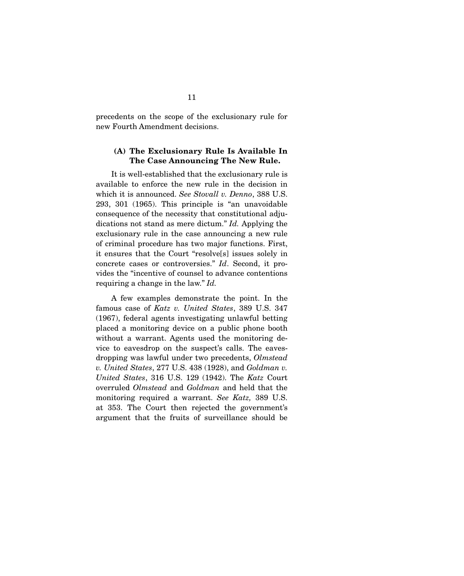precedents on the scope of the exclusionary rule for new Fourth Amendment decisions.

#### **(A) The Exclusionary Rule Is Available In The Case Announcing The New Rule.**

It is well-established that the exclusionary rule is available to enforce the new rule in the decision in which it is announced. *See Stovall v. Denno*, 388 U.S. 293, 301 (1965). This principle is "an unavoidable consequence of the necessity that constitutional adjudications not stand as mere dictum." *Id.* Applying the exclusionary rule in the case announcing a new rule of criminal procedure has two major functions. First, it ensures that the Court "resolve[s] issues solely in concrete cases or controversies." *Id*. Second, it provides the "incentive of counsel to advance contentions requiring a change in the law." *Id.*

 A few examples demonstrate the point. In the famous case of *Katz v. United States*, 389 U.S. 347 (1967), federal agents investigating unlawful betting placed a monitoring device on a public phone booth without a warrant. Agents used the monitoring device to eavesdrop on the suspect's calls. The eavesdropping was lawful under two precedents, *Olmstead v. United States*, 277 U.S. 438 (1928), and *Goldman v. United States*, 316 U.S. 129 (1942). The *Katz* Court overruled *Olmstead* and *Goldman* and held that the monitoring required a warrant. *See Katz,* 389 U.S. at 353. The Court then rejected the government's argument that the fruits of surveillance should be

11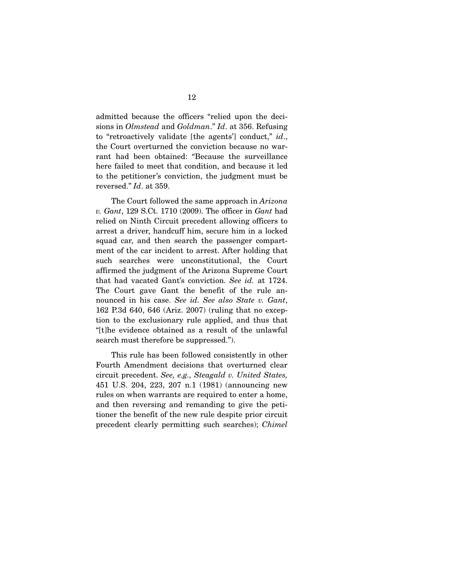admitted because the officers "relied upon the decisions in *Olmstead* and *Goldman*." *Id*. at 356. Refusing to "retroactively validate [the agents'] conduct," *id*., the Court overturned the conviction because no warrant had been obtained: "Because the surveillance here failed to meet that condition, and because it led to the petitioner's conviction, the judgment must be reversed." *Id*. at 359.

 The Court followed the same approach in *Arizona v. Gant*, 129 S.Ct. 1710 (2009). The officer in *Gant* had relied on Ninth Circuit precedent allowing officers to arrest a driver, handcuff him, secure him in a locked squad car, and then search the passenger compartment of the car incident to arrest. After holding that such searches were unconstitutional, the Court affirmed the judgment of the Arizona Supreme Court that had vacated Gant's conviction. *See id.* at 1724. The Court gave Gant the benefit of the rule announced in his case. *See id. See also State v. Gant*, 162 P.3d 640, 646 (Ariz. 2007) (ruling that no exception to the exclusionary rule applied, and thus that "[t]he evidence obtained as a result of the unlawful search must therefore be suppressed.").

 This rule has been followed consistently in other Fourth Amendment decisions that overturned clear circuit precedent. *See, e.g., Steagald v. United States,* 451 U.S. 204, 223, 207 n.1 (1981) (announcing new rules on when warrants are required to enter a home, and then reversing and remanding to give the petitioner the benefit of the new rule despite prior circuit precedent clearly permitting such searches); *Chimel*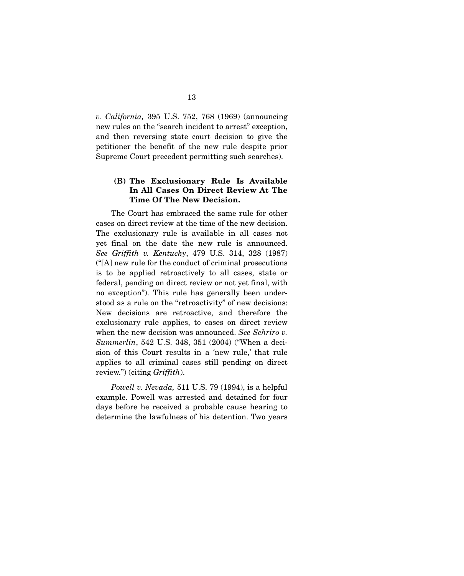*v. California,* 395 U.S. 752, 768 (1969) (announcing new rules on the "search incident to arrest" exception, and then reversing state court decision to give the petitioner the benefit of the new rule despite prior Supreme Court precedent permitting such searches).

#### **(B) The Exclusionary Rule Is Available In All Cases On Direct Review At The Time Of The New Decision.**

The Court has embraced the same rule for other cases on direct review at the time of the new decision. The exclusionary rule is available in all cases not yet final on the date the new rule is announced. *See Griffith v. Kentucky*, 479 U.S. 314, 328 (1987) ("[A] new rule for the conduct of criminal prosecutions is to be applied retroactively to all cases, state or federal, pending on direct review or not yet final, with no exception"). This rule has generally been understood as a rule on the "retroactivity" of new decisions: New decisions are retroactive, and therefore the exclusionary rule applies, to cases on direct review when the new decision was announced. *See Schriro v. Summerlin*, 542 U.S. 348, 351 (2004) ("When a decision of this Court results in a 'new rule,' that rule applies to all criminal cases still pending on direct review.") (citing *Griffith*).

*Powell v. Nevada,* 511 U.S. 79 (1994), is a helpful example. Powell was arrested and detained for four days before he received a probable cause hearing to determine the lawfulness of his detention. Two years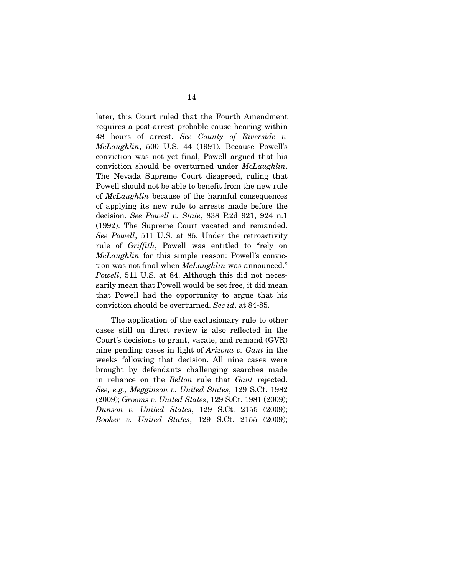later, this Court ruled that the Fourth Amendment requires a post-arrest probable cause hearing within 48 hours of arrest. *See County of Riverside v. McLaughlin*, 500 U.S. 44 (1991). Because Powell's conviction was not yet final, Powell argued that his conviction should be overturned under *McLaughlin*. The Nevada Supreme Court disagreed, ruling that Powell should not be able to benefit from the new rule of *McLaughlin* because of the harmful consequences of applying its new rule to arrests made before the decision. *See Powell v. State*, 838 P.2d 921, 924 n.1 (1992). The Supreme Court vacated and remanded. *See Powell*, 511 U.S. at 85. Under the retroactivity rule of *Griffith*, Powell was entitled to "rely on *McLaughlin* for this simple reason: Powell's conviction was not final when *McLaughlin* was announced." *Powell*, 511 U.S. at 84. Although this did not necessarily mean that Powell would be set free, it did mean that Powell had the opportunity to argue that his conviction should be overturned. *See id*. at 84-85.

 The application of the exclusionary rule to other cases still on direct review is also reflected in the Court's decisions to grant, vacate, and remand (GVR) nine pending cases in light of *Arizona v. Gant* in the weeks following that decision. All nine cases were brought by defendants challenging searches made in reliance on the *Belton* rule that *Gant* rejected. *See, e.g., Megginson v. United States*, 129 S.Ct. 1982 (2009); *Grooms v. United States*, 129 S.Ct. 1981 (2009); *Dunson v. United States*, 129 S.Ct. 2155 (2009); *Booker v. United States*, 129 S.Ct. 2155 (2009);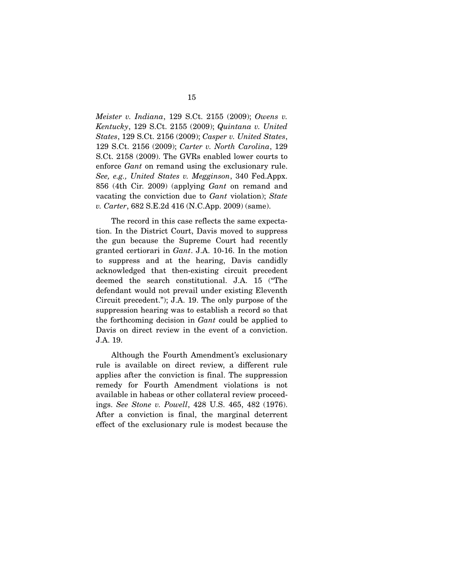*Meister v. Indiana*, 129 S.Ct. 2155 (2009); *Owens v. Kentucky*, 129 S.Ct. 2155 (2009); *Quintana v. United States*, 129 S.Ct. 2156 (2009); *Casper v. United States*, 129 S.Ct. 2156 (2009); *Carter v. North Carolina*, 129 S.Ct. 2158 (2009). The GVRs enabled lower courts to enforce *Gant* on remand using the exclusionary rule. *See, e.g., United States v. Megginson*, 340 Fed.Appx. 856 (4th Cir. 2009) (applying *Gant* on remand and vacating the conviction due to *Gant* violation); *State v. Carter*, 682 S.E.2d 416 (N.C.App. 2009) (same).

 The record in this case reflects the same expectation. In the District Court, Davis moved to suppress the gun because the Supreme Court had recently granted certiorari in *Gant*. J.A. 10-16. In the motion to suppress and at the hearing, Davis candidly acknowledged that then-existing circuit precedent deemed the search constitutional. J.A. 15 ("The defendant would not prevail under existing Eleventh Circuit precedent."); J.A. 19. The only purpose of the suppression hearing was to establish a record so that the forthcoming decision in *Gant* could be applied to Davis on direct review in the event of a conviction. J.A. 19.

 Although the Fourth Amendment's exclusionary rule is available on direct review, a different rule applies after the conviction is final. The suppression remedy for Fourth Amendment violations is not available in habeas or other collateral review proceedings. *See Stone v. Powell*, 428 U.S. 465, 482 (1976). After a conviction is final, the marginal deterrent effect of the exclusionary rule is modest because the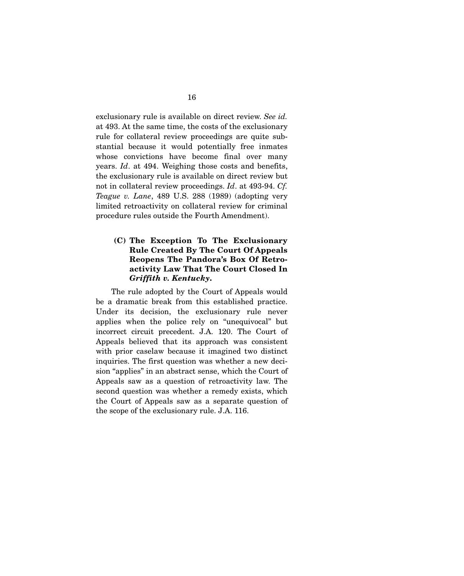exclusionary rule is available on direct review. *See id.* at 493. At the same time, the costs of the exclusionary rule for collateral review proceedings are quite substantial because it would potentially free inmates whose convictions have become final over many years. *Id*. at 494. Weighing those costs and benefits, the exclusionary rule is available on direct review but not in collateral review proceedings. *Id*. at 493-94. *Cf. Teague v. Lane*, 489 U.S. 288 (1989) (adopting very limited retroactivity on collateral review for criminal procedure rules outside the Fourth Amendment).

#### **(C) The Exception To The Exclusionary Rule Created By The Court Of Appeals Reopens The Pandora's Box Of Retroactivity Law That The Court Closed In**  *Griffith v. Kentucky***.**

The rule adopted by the Court of Appeals would be a dramatic break from this established practice. Under its decision, the exclusionary rule never applies when the police rely on "unequivocal" but incorrect circuit precedent. J.A. 120. The Court of Appeals believed that its approach was consistent with prior caselaw because it imagined two distinct inquiries. The first question was whether a new decision "applies" in an abstract sense, which the Court of Appeals saw as a question of retroactivity law. The second question was whether a remedy exists, which the Court of Appeals saw as a separate question of the scope of the exclusionary rule. J.A. 116.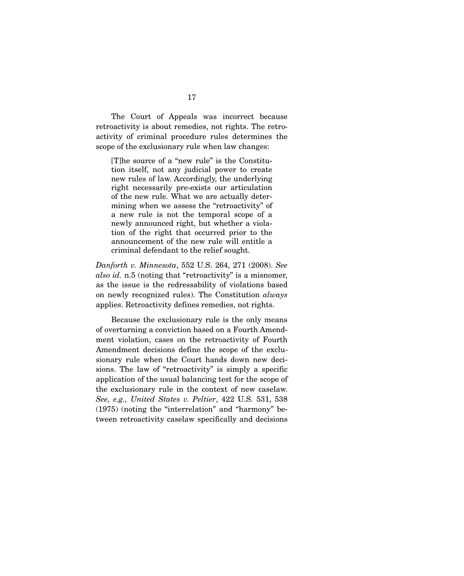The Court of Appeals was incorrect because retroactivity is about remedies, not rights. The retroactivity of criminal procedure rules determines the scope of the exclusionary rule when law changes:

[T]he source of a "new rule" is the Constitution itself, not any judicial power to create new rules of law. Accordingly, the underlying right necessarily pre-exists our articulation of the new rule. What we are actually determining when we assess the "retroactivity" of a new rule is not the temporal scope of a newly announced right, but whether a violation of the right that occurred prior to the announcement of the new rule will entitle a criminal defendant to the relief sought.

*Danforth v. Minnesota*, 552 U.S. 264, 271 (2008). *See also id.* n.5 (noting that "retroactivity" is a misnomer, as the issue is the redressability of violations based on newly recognized rules). The Constitution *always* applies. Retroactivity defines remedies, not rights.

 Because the exclusionary rule is the only means of overturning a conviction based on a Fourth Amendment violation, cases on the retroactivity of Fourth Amendment decisions define the scope of the exclusionary rule when the Court hands down new decisions. The law of "retroactivity" is simply a specific application of the usual balancing test for the scope of the exclusionary rule in the context of new caselaw. *See, e.g., United States v. Peltier*, 422 U.S. 531, 538 (1975) (noting the "interrelation" and "harmony" between retroactivity caselaw specifically and decisions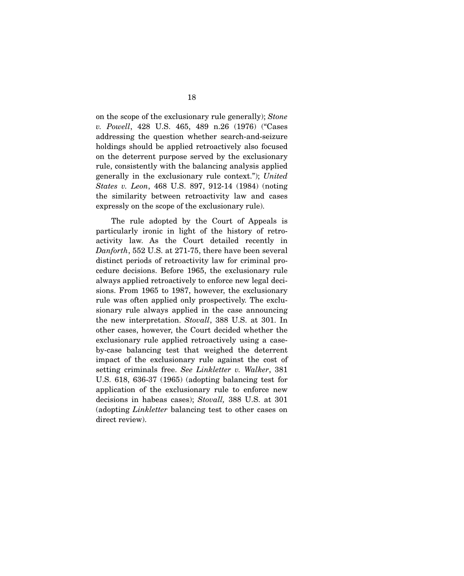on the scope of the exclusionary rule generally); *Stone v. Powell*, 428 U.S. 465, 489 n.26 (1976) ("Cases addressing the question whether search-and-seizure holdings should be applied retroactively also focused on the deterrent purpose served by the exclusionary rule, consistently with the balancing analysis applied generally in the exclusionary rule context."); *United States v. Leon*, 468 U.S. 897, 912-14 (1984) (noting the similarity between retroactivity law and cases expressly on the scope of the exclusionary rule).

 The rule adopted by the Court of Appeals is particularly ironic in light of the history of retroactivity law. As the Court detailed recently in *Danforth*, 552 U.S. at 271-75, there have been several distinct periods of retroactivity law for criminal procedure decisions. Before 1965, the exclusionary rule always applied retroactively to enforce new legal decisions. From 1965 to 1987, however, the exclusionary rule was often applied only prospectively. The exclusionary rule always applied in the case announcing the new interpretation. *Stovall*, 388 U.S. at 301. In other cases, however, the Court decided whether the exclusionary rule applied retroactively using a caseby-case balancing test that weighed the deterrent impact of the exclusionary rule against the cost of setting criminals free. *See Linkletter v. Walker*, 381 U.S. 618, 636-37 (1965) (adopting balancing test for application of the exclusionary rule to enforce new decisions in habeas cases); *Stovall,* 388 U.S. at 301 (adopting *Linkletter* balancing test to other cases on direct review).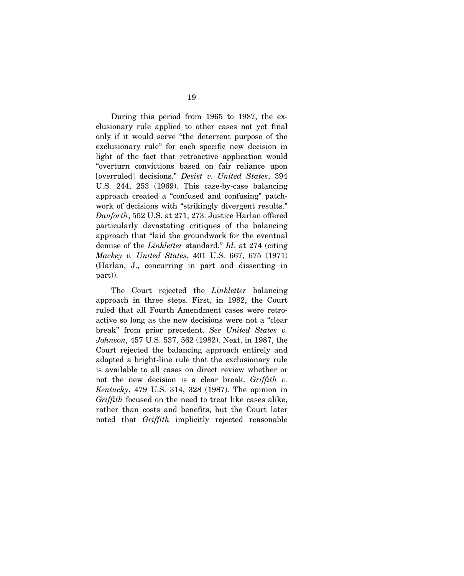During this period from 1965 to 1987, the exclusionary rule applied to other cases not yet final only if it would serve "the deterrent purpose of the exclusionary rule" for each specific new decision in light of the fact that retroactive application would "overturn convictions based on fair reliance upon [overruled] decisions." *Desist v. United States*, 394 U.S. 244, 253 (1969). This case-by-case balancing approach created a "confused and confusing" patchwork of decisions with "strikingly divergent results." *Danforth*, 552 U.S. at 271, 273. Justice Harlan offered particularly devastating critiques of the balancing approach that "laid the groundwork for the eventual demise of the *Linkletter* standard." *Id.* at 274 (citing *Mackey v. United States*, 401 U.S. 667, 675 (1971) (Harlan, J., concurring in part and dissenting in part)).

 The Court rejected the *Linkletter* balancing approach in three steps. First, in 1982, the Court ruled that all Fourth Amendment cases were retroactive so long as the new decisions were not a "clear break" from prior precedent. *See United States v. Johnson*, 457 U.S. 537, 562 (1982). Next, in 1987, the Court rejected the balancing approach entirely and adopted a bright-line rule that the exclusionary rule is available to all cases on direct review whether or not the new decision is a clear break. *Griffith v. Kentucky*, 479 U.S. 314, 328 (1987). The opinion in *Griffith* focused on the need to treat like cases alike, rather than costs and benefits, but the Court later noted that *Griffith* implicitly rejected reasonable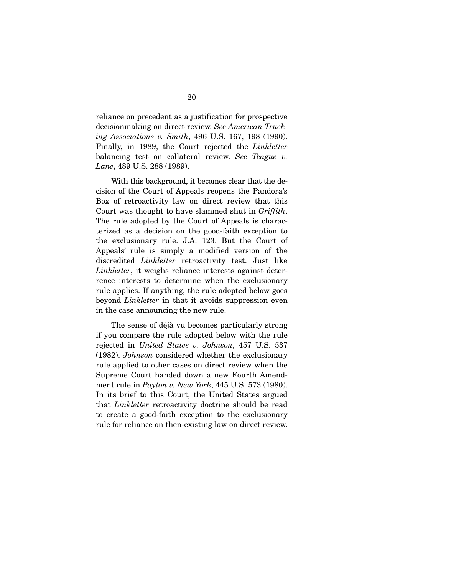reliance on precedent as a justification for prospective decisionmaking on direct review. *See American Trucking Associations v. Smith*, 496 U.S. 167, 198 (1990). Finally, in 1989, the Court rejected the *Linkletter* balancing test on collateral review. *See Teague v. Lane*, 489 U.S. 288 (1989).

 With this background, it becomes clear that the decision of the Court of Appeals reopens the Pandora's Box of retroactivity law on direct review that this Court was thought to have slammed shut in *Griffith*. The rule adopted by the Court of Appeals is characterized as a decision on the good-faith exception to the exclusionary rule. J.A. 123. But the Court of Appeals' rule is simply a modified version of the discredited *Linkletter* retroactivity test. Just like *Linkletter*, it weighs reliance interests against deterrence interests to determine when the exclusionary rule applies. If anything, the rule adopted below goes beyond *Linkletter* in that it avoids suppression even in the case announcing the new rule.

 The sense of déjà vu becomes particularly strong if you compare the rule adopted below with the rule rejected in *United States v. Johnson*, 457 U.S. 537 (1982). *Johnson* considered whether the exclusionary rule applied to other cases on direct review when the Supreme Court handed down a new Fourth Amendment rule in *Payton v. New York*, 445 U.S. 573 (1980). In its brief to this Court, the United States argued that *Linkletter* retroactivity doctrine should be read to create a good-faith exception to the exclusionary rule for reliance on then-existing law on direct review.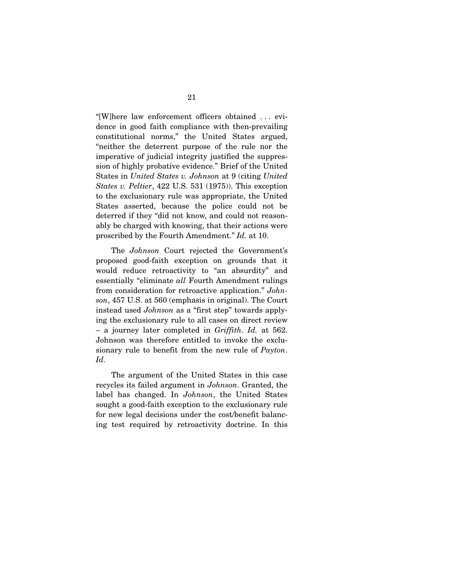"[W]here law enforcement officers obtained . . . evidence in good faith compliance with then-prevailing constitutional norms," the United States argued, "neither the deterrent purpose of the rule nor the imperative of judicial integrity justified the suppression of highly probative evidence." Brief of the United States in *United States v. Johnson* at 9 (citing *United States v. Peltier*, 422 U.S. 531 (1975)). This exception to the exclusionary rule was appropriate, the United States asserted, because the police could not be deterred if they "did not know, and could not reasonably be charged with knowing, that their actions were proscribed by the Fourth Amendment." *Id.* at 10.

 The *Johnson* Court rejected the Government's proposed good-faith exception on grounds that it would reduce retroactivity to "an absurdity" and essentially "eliminate *all* Fourth Amendment rulings from consideration for retroactive application." *Johnson*, 457 U.S. at 560 (emphasis in original). The Court instead used *Johnson* as a "first step" towards applying the exclusionary rule to all cases on direct review – a journey later completed in *Griffith*. *Id.* at 562. Johnson was therefore entitled to invoke the exclusionary rule to benefit from the new rule of *Payton*. *Id.*

 The argument of the United States in this case recycles its failed argument in *Johnson*. Granted, the label has changed. In *Johnson*, the United States sought a good-faith exception to the exclusionary rule for new legal decisions under the cost/benefit balancing test required by retroactivity doctrine. In this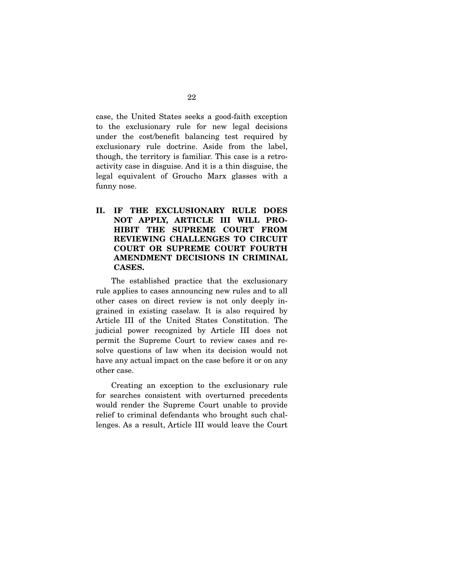case, the United States seeks a good-faith exception to the exclusionary rule for new legal decisions under the cost/benefit balancing test required by exclusionary rule doctrine. Aside from the label, though, the territory is familiar. This case is a retroactivity case in disguise. And it is a thin disguise, the legal equivalent of Groucho Marx glasses with a funny nose.

**II. IF THE EXCLUSIONARY RULE DOES NOT APPLY, ARTICLE III WILL PRO-HIBIT THE SUPREME COURT FROM REVIEWING CHALLENGES TO CIRCUIT COURT OR SUPREME COURT FOURTH AMENDMENT DECISIONS IN CRIMINAL CASES.** 

The established practice that the exclusionary rule applies to cases announcing new rules and to all other cases on direct review is not only deeply ingrained in existing caselaw. It is also required by Article III of the United States Constitution. The judicial power recognized by Article III does not permit the Supreme Court to review cases and resolve questions of law when its decision would not have any actual impact on the case before it or on any other case.

 Creating an exception to the exclusionary rule for searches consistent with overturned precedents would render the Supreme Court unable to provide relief to criminal defendants who brought such challenges. As a result, Article III would leave the Court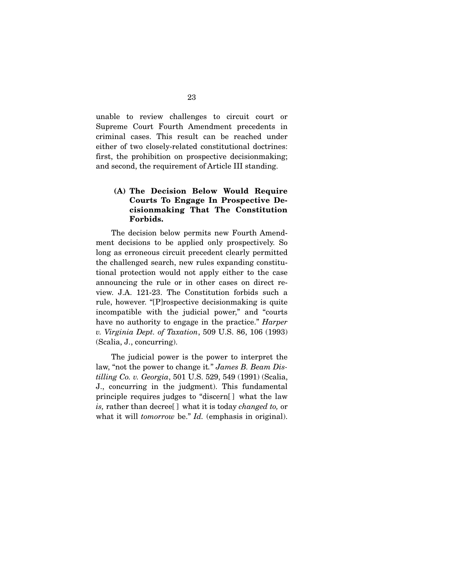unable to review challenges to circuit court or Supreme Court Fourth Amendment precedents in criminal cases. This result can be reached under either of two closely-related constitutional doctrines: first, the prohibition on prospective decisionmaking; and second, the requirement of Article III standing.

### **(A) The Decision Below Would Require Courts To Engage In Prospective Decisionmaking That The Constitution Forbids.**

 The decision below permits new Fourth Amendment decisions to be applied only prospectively. So long as erroneous circuit precedent clearly permitted the challenged search, new rules expanding constitutional protection would not apply either to the case announcing the rule or in other cases on direct review. J.A. 121-23. The Constitution forbids such a rule, however. "[P]rospective decisionmaking is quite incompatible with the judicial power," and "courts have no authority to engage in the practice." *Harper v. Virginia Dept. of Taxation*, 509 U.S. 86, 106 (1993) (Scalia, J., concurring).

 The judicial power is the power to interpret the law, "not the power to change it*.*" *James B. Beam Distilling Co. v. Georgia*, 501 U.S. 529, 549 (1991) (Scalia, J., concurring in the judgment). This fundamental principle requires judges to "discern[ ] what the law *is,* rather than decree[ ] what it is today *changed to,* or what it will *tomorrow* be." *Id.* (emphasis in original).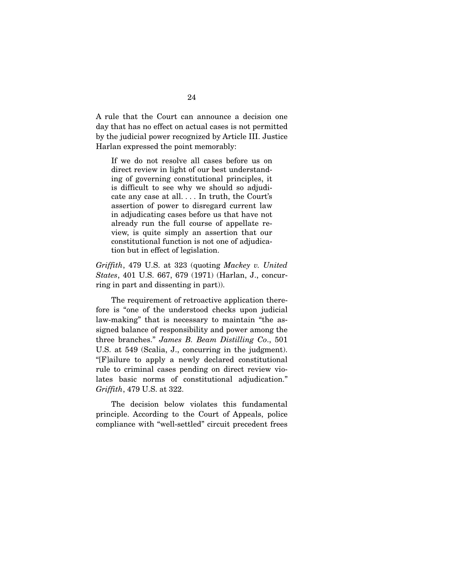A rule that the Court can announce a decision one day that has no effect on actual cases is not permitted by the judicial power recognized by Article III. Justice Harlan expressed the point memorably:

If we do not resolve all cases before us on direct review in light of our best understanding of governing constitutional principles, it is difficult to see why we should so adjudicate any case at all. . . . In truth, the Court's assertion of power to disregard current law in adjudicating cases before us that have not already run the full course of appellate review, is quite simply an assertion that our constitutional function is not one of adjudication but in effect of legislation.

*Griffith*, 479 U.S. at 323 (quoting *Mackey v. United States*, 401 U.S. 667, 679 (1971) (Harlan, J., concurring in part and dissenting in part)).

 The requirement of retroactive application therefore is "one of the understood checks upon judicial law-making" that is necessary to maintain "the assigned balance of responsibility and power among the three branches." *James B. Beam Distilling Co*., 501 U.S. at 549 (Scalia, J., concurring in the judgment). "[F]ailure to apply a newly declared constitutional rule to criminal cases pending on direct review violates basic norms of constitutional adjudication." *Griffith*, 479 U.S. at 322.

 The decision below violates this fundamental principle. According to the Court of Appeals, police compliance with "well-settled" circuit precedent frees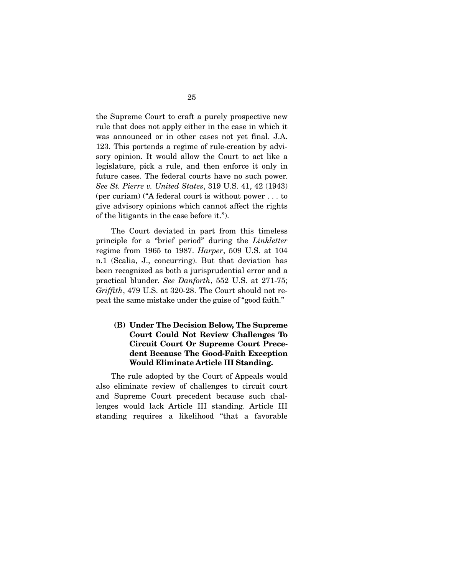the Supreme Court to craft a purely prospective new rule that does not apply either in the case in which it was announced or in other cases not yet final. J.A. 123. This portends a regime of rule-creation by advisory opinion. It would allow the Court to act like a legislature, pick a rule, and then enforce it only in future cases. The federal courts have no such power. *See St. Pierre v. United States*, 319 U.S. 41, 42 (1943) (per curiam) ("A federal court is without power . . . to give advisory opinions which cannot affect the rights of the litigants in the case before it.").

 The Court deviated in part from this timeless principle for a "brief period" during the *Linkletter* regime from 1965 to 1987. *Harper*, 509 U.S. at 104 n.1 (Scalia, J., concurring). But that deviation has been recognized as both a jurisprudential error and a practical blunder. *See Danforth*, 552 U.S. at 271-75; *Griffith*, 479 U.S. at 320-28. The Court should not repeat the same mistake under the guise of "good faith."

## **(B) Under The Decision Below, The Supreme Court Could Not Review Challenges To Circuit Court Or Supreme Court Precedent Because The Good-Faith Exception Would Eliminate Article III Standing.**

The rule adopted by the Court of Appeals would also eliminate review of challenges to circuit court and Supreme Court precedent because such challenges would lack Article III standing. Article III standing requires a likelihood "that a favorable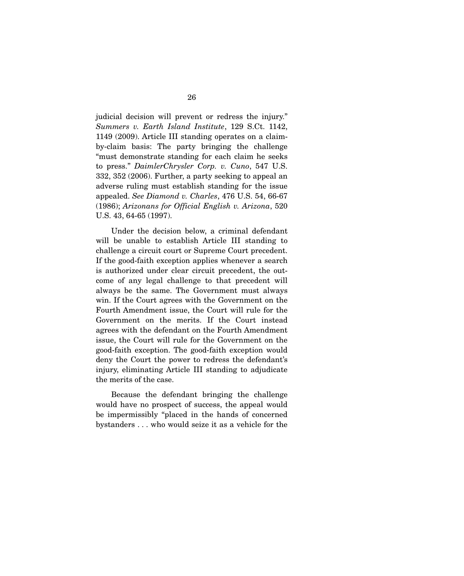judicial decision will prevent or redress the injury." *Summers v. Earth Island Institute*, 129 S.Ct. 1142, 1149 (2009). Article III standing operates on a claimby-claim basis: The party bringing the challenge "must demonstrate standing for each claim he seeks to press." *DaimlerChrysler Corp. v. Cuno*, 547 U.S. 332, 352 (2006). Further, a party seeking to appeal an adverse ruling must establish standing for the issue appealed. *See Diamond v. Charles*, 476 U.S. 54, 66-67 (1986); *Arizonans for Official English v. Arizona*, 520 U.S. 43, 64-65 (1997).

 Under the decision below, a criminal defendant will be unable to establish Article III standing to challenge a circuit court or Supreme Court precedent. If the good-faith exception applies whenever a search is authorized under clear circuit precedent, the outcome of any legal challenge to that precedent will always be the same. The Government must always win. If the Court agrees with the Government on the Fourth Amendment issue, the Court will rule for the Government on the merits. If the Court instead agrees with the defendant on the Fourth Amendment issue, the Court will rule for the Government on the good-faith exception. The good-faith exception would deny the Court the power to redress the defendant's injury, eliminating Article III standing to adjudicate the merits of the case.

 Because the defendant bringing the challenge would have no prospect of success, the appeal would be impermissibly "placed in the hands of concerned bystanders . . . who would seize it as a vehicle for the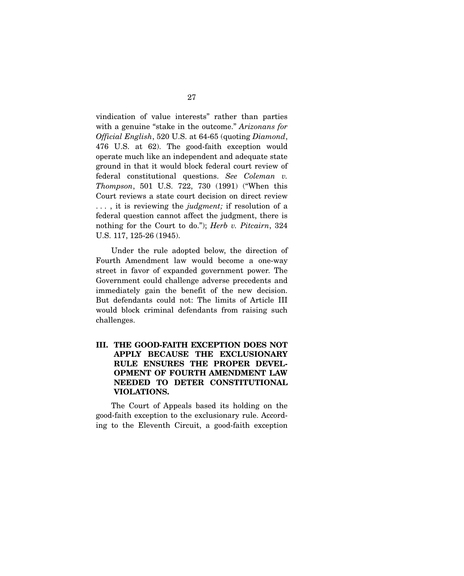vindication of value interests" rather than parties with a genuine "stake in the outcome." *Arizonans for Official English*, 520 U.S. at 64-65 (quoting *Diamond*, 476 U.S. at 62). The good-faith exception would operate much like an independent and adequate state ground in that it would block federal court review of federal constitutional questions. *See Coleman v. Thompson*, 501 U.S. 722, 730 (1991) ("When this Court reviews a state court decision on direct review . . . , it is reviewing the *judgment;* if resolution of a federal question cannot affect the judgment, there is nothing for the Court to do."); *Herb v. Pitcairn*, 324 U.S. 117, 125-26 (1945).

 Under the rule adopted below, the direction of Fourth Amendment law would become a one-way street in favor of expanded government power. The Government could challenge adverse precedents and immediately gain the benefit of the new decision. But defendants could not: The limits of Article III would block criminal defendants from raising such challenges.

**III. THE GOOD-FAITH EXCEPTION DOES NOT APPLY BECAUSE THE EXCLUSIONARY RULE ENSURES THE PROPER DEVEL-OPMENT OF FOURTH AMENDMENT LAW NEEDED TO DETER CONSTITUTIONAL VIOLATIONS.** 

The Court of Appeals based its holding on the good-faith exception to the exclusionary rule. According to the Eleventh Circuit, a good-faith exception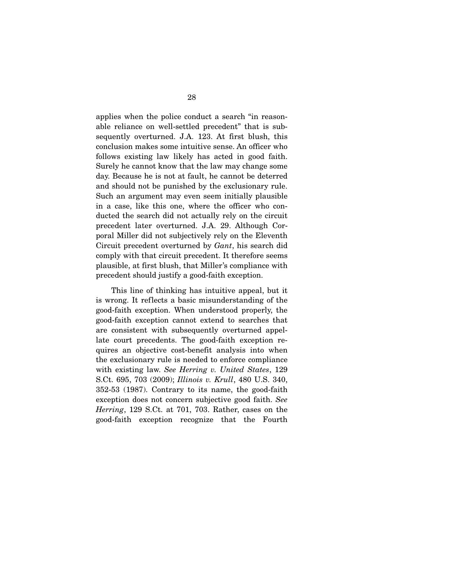applies when the police conduct a search "in reasonable reliance on well-settled precedent" that is subsequently overturned. J.A. 123. At first blush, this conclusion makes some intuitive sense. An officer who follows existing law likely has acted in good faith. Surely he cannot know that the law may change some day. Because he is not at fault, he cannot be deterred and should not be punished by the exclusionary rule. Such an argument may even seem initially plausible in a case, like this one, where the officer who conducted the search did not actually rely on the circuit precedent later overturned. J.A. 29. Although Corporal Miller did not subjectively rely on the Eleventh Circuit precedent overturned by *Gant*, his search did comply with that circuit precedent. It therefore seems plausible, at first blush, that Miller's compliance with precedent should justify a good-faith exception.

 This line of thinking has intuitive appeal, but it is wrong. It reflects a basic misunderstanding of the good-faith exception. When understood properly, the good-faith exception cannot extend to searches that are consistent with subsequently overturned appellate court precedents. The good-faith exception requires an objective cost-benefit analysis into when the exclusionary rule is needed to enforce compliance with existing law. *See Herring v. United States*, 129 S.Ct. 695, 703 (2009); *Illinois v. Krull*, 480 U.S. 340, 352-53 (1987). Contrary to its name, the good-faith exception does not concern subjective good faith. *See Herring*, 129 S.Ct. at 701, 703. Rather, cases on the good-faith exception recognize that the Fourth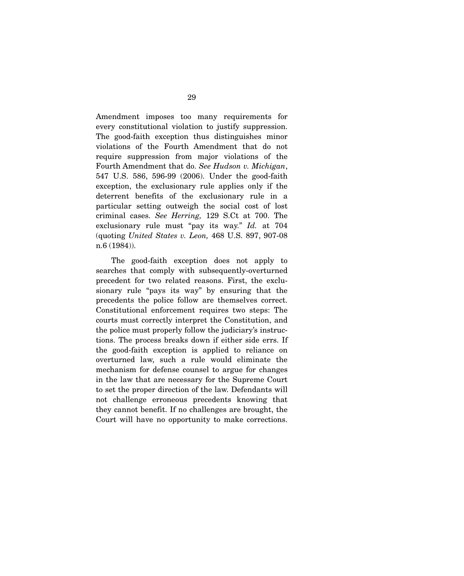Amendment imposes too many requirements for every constitutional violation to justify suppression. The good-faith exception thus distinguishes minor violations of the Fourth Amendment that do not require suppression from major violations of the Fourth Amendment that do. *See Hudson v. Michigan*, 547 U.S. 586, 596-99 (2006). Under the good-faith exception, the exclusionary rule applies only if the deterrent benefits of the exclusionary rule in a particular setting outweigh the social cost of lost criminal cases. *See Herring,* 129 S.Ct at 700. The exclusionary rule must "pay its way." *Id.* at 704 (quoting *United States v. Leon,* 468 U.S. 897, 907-08 n.6 (1984)).

 The good-faith exception does not apply to searches that comply with subsequently-overturned precedent for two related reasons. First, the exclusionary rule "pays its way" by ensuring that the precedents the police follow are themselves correct. Constitutional enforcement requires two steps: The courts must correctly interpret the Constitution, and the police must properly follow the judiciary's instructions. The process breaks down if either side errs. If the good-faith exception is applied to reliance on overturned law, such a rule would eliminate the mechanism for defense counsel to argue for changes in the law that are necessary for the Supreme Court to set the proper direction of the law. Defendants will not challenge erroneous precedents knowing that they cannot benefit. If no challenges are brought, the Court will have no opportunity to make corrections.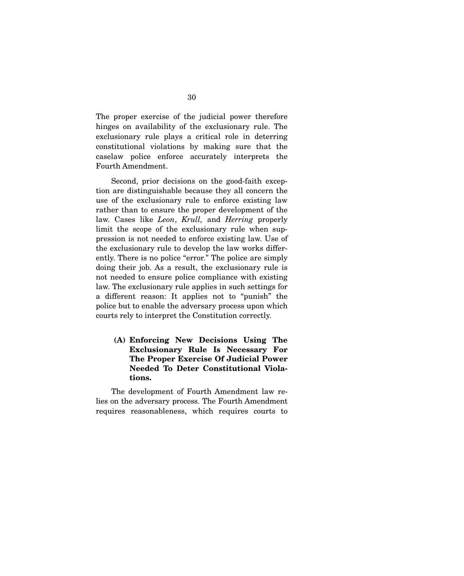The proper exercise of the judicial power therefore hinges on availability of the exclusionary rule. The exclusionary rule plays a critical role in deterring constitutional violations by making sure that the caselaw police enforce accurately interprets the Fourth Amendment.

 Second, prior decisions on the good-faith exception are distinguishable because they all concern the use of the exclusionary rule to enforce existing law rather than to ensure the proper development of the law. Cases like *Leon*, *Krull,* and *Herring* properly limit the scope of the exclusionary rule when suppression is not needed to enforce existing law. Use of the exclusionary rule to develop the law works differently. There is no police "error." The police are simply doing their job. As a result, the exclusionary rule is not needed to ensure police compliance with existing law. The exclusionary rule applies in such settings for a different reason: It applies not to "punish" the police but to enable the adversary process upon which courts rely to interpret the Constitution correctly.

**(A) Enforcing New Decisions Using The Exclusionary Rule Is Necessary For The Proper Exercise Of Judicial Power Needed To Deter Constitutional Violations.** 

 The development of Fourth Amendment law relies on the adversary process. The Fourth Amendment requires reasonableness, which requires courts to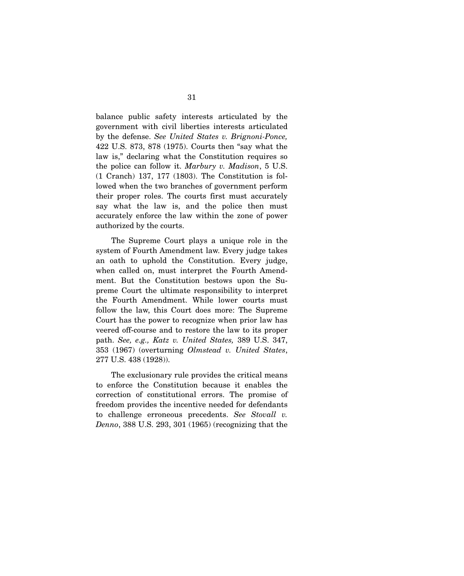balance public safety interests articulated by the government with civil liberties interests articulated by the defense. *See United States v. Brignoni-Ponce,*  422 U.S. 873, 878 (1975). Courts then "say what the law is," declaring what the Constitution requires so the police can follow it. *Marbury v. Madison*, 5 U.S. (1 Cranch) 137, 177 (1803). The Constitution is followed when the two branches of government perform their proper roles. The courts first must accurately say what the law is, and the police then must accurately enforce the law within the zone of power authorized by the courts.

 The Supreme Court plays a unique role in the system of Fourth Amendment law. Every judge takes an oath to uphold the Constitution. Every judge, when called on, must interpret the Fourth Amendment. But the Constitution bestows upon the Supreme Court the ultimate responsibility to interpret the Fourth Amendment. While lower courts must follow the law, this Court does more: The Supreme Court has the power to recognize when prior law has veered off-course and to restore the law to its proper path. *See, e.g., Katz v. United States,* 389 U.S. 347, 353 (1967) (overturning *Olmstead v. United States*, 277 U.S. 438 (1928)).

 The exclusionary rule provides the critical means to enforce the Constitution because it enables the correction of constitutional errors. The promise of freedom provides the incentive needed for defendants to challenge erroneous precedents. *See Stovall v. Denno*, 388 U.S. 293, 301 (1965) (recognizing that the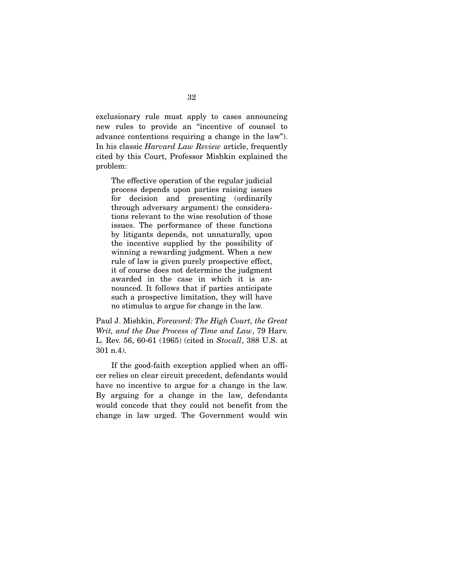exclusionary rule must apply to cases announcing new rules to provide an "incentive of counsel to advance contentions requiring a change in the law"). In his classic *Harvard Law Review* article, frequently cited by this Court, Professor Mishkin explained the problem:

The effective operation of the regular judicial process depends upon parties raising issues for decision and presenting (ordinarily through adversary argument) the considerations relevant to the wise resolution of those issues. The performance of these functions by litigants depends, not unnaturally, upon the incentive supplied by the possibility of winning a rewarding judgment. When a new rule of law is given purely prospective effect, it of course does not determine the judgment awarded in the case in which it is announced. It follows that if parties anticipate such a prospective limitation, they will have no stimulus to argue for change in the law.

Paul J. Mishkin, *Foreword: The High Court, the Great Writ, and the Due Process of Time and Law*, 79 Harv. L. Rev. 56, 60-61 (1965) (cited in *Stovall*, 388 U.S. at 301 n.4).

 If the good-faith exception applied when an officer relies on clear circuit precedent, defendants would have no incentive to argue for a change in the law. By arguing for a change in the law, defendants would concede that they could not benefit from the change in law urged. The Government would win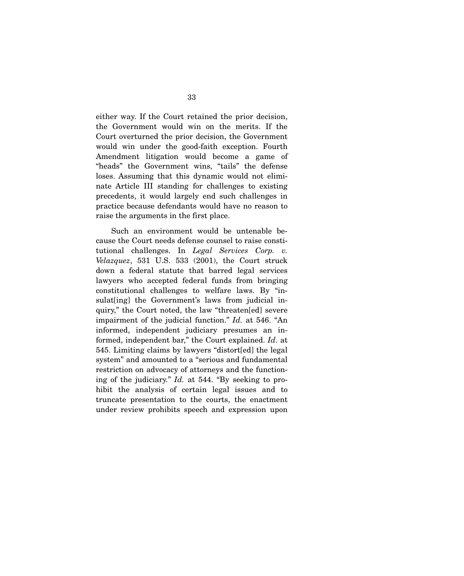either way. If the Court retained the prior decision, the Government would win on the merits. If the Court overturned the prior decision, the Government would win under the good-faith exception. Fourth Amendment litigation would become a game of "heads" the Government wins, "tails" the defense loses. Assuming that this dynamic would not eliminate Article III standing for challenges to existing precedents, it would largely end such challenges in practice because defendants would have no reason to raise the arguments in the first place.

 Such an environment would be untenable because the Court needs defense counsel to raise constitutional challenges. In *Legal Services Corp. v. Velazquez*, 531 U.S. 533 (2001), the Court struck down a federal statute that barred legal services lawyers who accepted federal funds from bringing constitutional challenges to welfare laws. By "insulat[ing] the Government's laws from judicial inquiry," the Court noted, the law "threaten[ed] severe impairment of the judicial function." *Id.* at 546. "An informed, independent judiciary presumes an informed, independent bar," the Court explained. *Id*. at 545. Limiting claims by lawyers "distort[ed] the legal system" and amounted to a "serious and fundamental restriction on advocacy of attorneys and the functioning of the judiciary." *Id.* at 544. "By seeking to prohibit the analysis of certain legal issues and to truncate presentation to the courts, the enactment under review prohibits speech and expression upon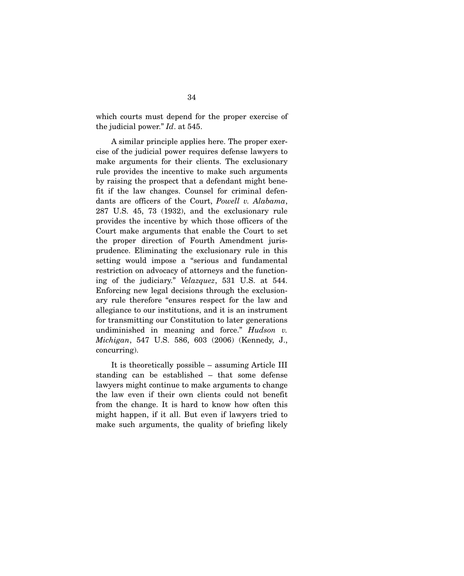which courts must depend for the proper exercise of the judicial power." *Id*. at 545.

 A similar principle applies here. The proper exercise of the judicial power requires defense lawyers to make arguments for their clients. The exclusionary rule provides the incentive to make such arguments by raising the prospect that a defendant might benefit if the law changes. Counsel for criminal defendants are officers of the Court, *Powell v. Alabama*, 287 U.S. 45, 73 (1932), and the exclusionary rule provides the incentive by which those officers of the Court make arguments that enable the Court to set the proper direction of Fourth Amendment jurisprudence. Eliminating the exclusionary rule in this setting would impose a "serious and fundamental restriction on advocacy of attorneys and the functioning of the judiciary." *Velazquez*, 531 U.S. at 544. Enforcing new legal decisions through the exclusionary rule therefore "ensures respect for the law and allegiance to our institutions, and it is an instrument for transmitting our Constitution to later generations undiminished in meaning and force." *Hudson v. Michigan*, 547 U.S. 586, 603 (2006) (Kennedy, J., concurring).

 It is theoretically possible – assuming Article III standing can be established – that some defense lawyers might continue to make arguments to change the law even if their own clients could not benefit from the change. It is hard to know how often this might happen, if it all. But even if lawyers tried to make such arguments, the quality of briefing likely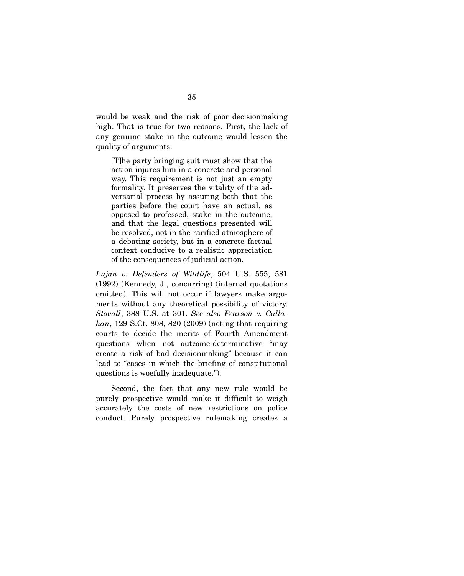would be weak and the risk of poor decisionmaking high. That is true for two reasons. First, the lack of any genuine stake in the outcome would lessen the quality of arguments:

[T]he party bringing suit must show that the action injures him in a concrete and personal way. This requirement is not just an empty formality. It preserves the vitality of the adversarial process by assuring both that the parties before the court have an actual, as opposed to professed, stake in the outcome, and that the legal questions presented will be resolved, not in the rarified atmosphere of a debating society, but in a concrete factual context conducive to a realistic appreciation of the consequences of judicial action.

*Lujan v. Defenders of Wildlife*, 504 U.S. 555, 581 (1992) (Kennedy, J., concurring) (internal quotations omitted). This will not occur if lawyers make arguments without any theoretical possibility of victory. *Stovall*, 388 U.S. at 301. *See also Pearson v. Callahan*, 129 S.Ct. 808, 820 (2009) (noting that requiring courts to decide the merits of Fourth Amendment questions when not outcome-determinative "may create a risk of bad decisionmaking" because it can lead to "cases in which the briefing of constitutional questions is woefully inadequate.").

 Second, the fact that any new rule would be purely prospective would make it difficult to weigh accurately the costs of new restrictions on police conduct. Purely prospective rulemaking creates a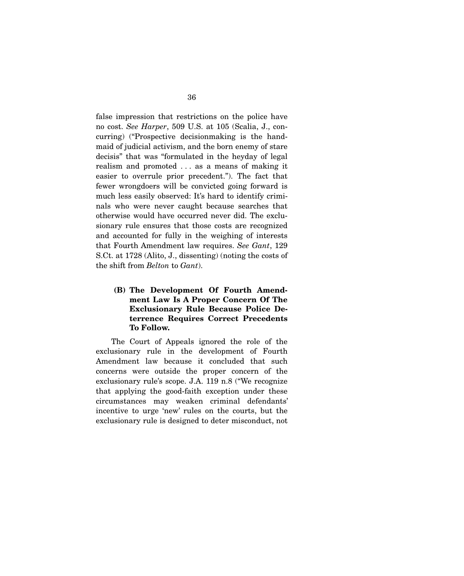false impression that restrictions on the police have no cost. *See Harper*, 509 U.S. at 105 (Scalia, J., concurring) ("Prospective decisionmaking is the handmaid of judicial activism, and the born enemy of stare decisis" that was "formulated in the heyday of legal realism and promoted . . . as a means of making it easier to overrule prior precedent."). The fact that fewer wrongdoers will be convicted going forward is much less easily observed: It's hard to identify criminals who were never caught because searches that otherwise would have occurred never did. The exclusionary rule ensures that those costs are recognized and accounted for fully in the weighing of interests that Fourth Amendment law requires. *See Gant*, 129 S.Ct. at 1728 (Alito, J., dissenting) (noting the costs of the shift from *Belton* to *Gant*).

# **(B) The Development Of Fourth Amendment Law Is A Proper Concern Of The Exclusionary Rule Because Police Deterrence Requires Correct Precedents To Follow.**

The Court of Appeals ignored the role of the exclusionary rule in the development of Fourth Amendment law because it concluded that such concerns were outside the proper concern of the exclusionary rule's scope. J.A. 119 n.8 ("We recognize that applying the good-faith exception under these circumstances may weaken criminal defendants' incentive to urge 'new' rules on the courts, but the exclusionary rule is designed to deter misconduct, not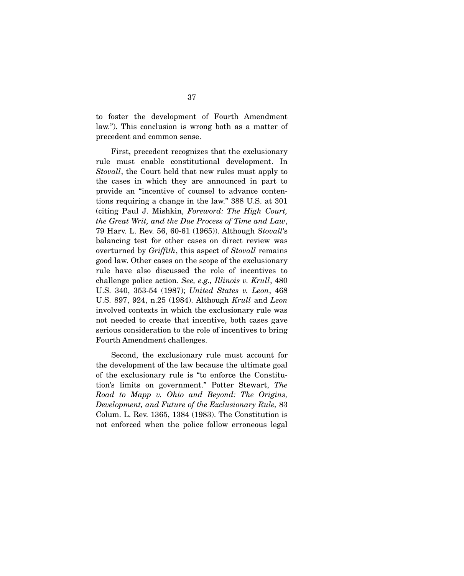to foster the development of Fourth Amendment law."). This conclusion is wrong both as a matter of precedent and common sense.

 First, precedent recognizes that the exclusionary rule must enable constitutional development. In *Stovall*, the Court held that new rules must apply to the cases in which they are announced in part to provide an "incentive of counsel to advance contentions requiring a change in the law." 388 U.S. at 301 (citing Paul J. Mishkin, *Foreword: The High Court, the Great Writ, and the Due Process of Time and Law*, 79 Harv. L. Rev. 56, 60-61 (1965)). Although *Stovall*'s balancing test for other cases on direct review was overturned by *Griffith*, this aspect of *Stovall* remains good law. Other cases on the scope of the exclusionary rule have also discussed the role of incentives to challenge police action. *See, e.g., Illinois v. Krull*, 480 U.S. 340, 353-54 (1987); *United States v. Leon*, 468 U.S. 897, 924, n.25 (1984). Although *Krull* and *Leon* involved contexts in which the exclusionary rule was not needed to create that incentive, both cases gave serious consideration to the role of incentives to bring Fourth Amendment challenges.

 Second, the exclusionary rule must account for the development of the law because the ultimate goal of the exclusionary rule is "to enforce the Constitution's limits on government." Potter Stewart, *The Road to Mapp v. Ohio and Beyond: The Origins, Development, and Future of the Exclusionary Rule,* 83 Colum. L. Rev. 1365, 1384 (1983). The Constitution is not enforced when the police follow erroneous legal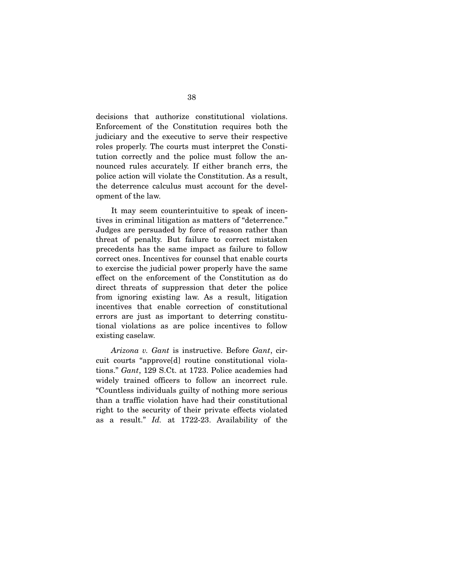decisions that authorize constitutional violations. Enforcement of the Constitution requires both the judiciary and the executive to serve their respective roles properly. The courts must interpret the Constitution correctly and the police must follow the announced rules accurately. If either branch errs, the police action will violate the Constitution. As a result, the deterrence calculus must account for the development of the law.

 It may seem counterintuitive to speak of incentives in criminal litigation as matters of "deterrence." Judges are persuaded by force of reason rather than threat of penalty. But failure to correct mistaken precedents has the same impact as failure to follow correct ones. Incentives for counsel that enable courts to exercise the judicial power properly have the same effect on the enforcement of the Constitution as do direct threats of suppression that deter the police from ignoring existing law. As a result, litigation incentives that enable correction of constitutional errors are just as important to deterring constitutional violations as are police incentives to follow existing caselaw.

*Arizona v. Gant* is instructive. Before *Gant*, circuit courts "approve[d] routine constitutional violations." *Gant*, 129 S.Ct. at 1723. Police academies had widely trained officers to follow an incorrect rule. "Countless individuals guilty of nothing more serious than a traffic violation have had their constitutional right to the security of their private effects violated as a result." *Id.* at 1722-23. Availability of the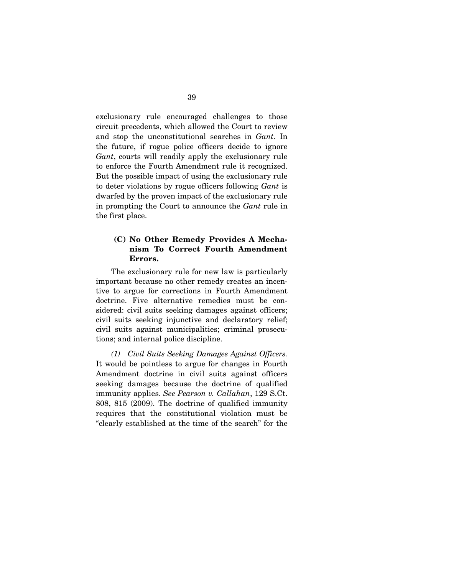exclusionary rule encouraged challenges to those circuit precedents, which allowed the Court to review and stop the unconstitutional searches in *Gant*. In the future, if rogue police officers decide to ignore *Gant*, courts will readily apply the exclusionary rule to enforce the Fourth Amendment rule it recognized. But the possible impact of using the exclusionary rule to deter violations by rogue officers following *Gant* is dwarfed by the proven impact of the exclusionary rule in prompting the Court to announce the *Gant* rule in the first place.

## **(C) No Other Remedy Provides A Mechanism To Correct Fourth Amendment Errors.**

The exclusionary rule for new law is particularly important because no other remedy creates an incentive to argue for corrections in Fourth Amendment doctrine. Five alternative remedies must be considered: civil suits seeking damages against officers; civil suits seeking injunctive and declaratory relief; civil suits against municipalities; criminal prosecutions; and internal police discipline.

*(1) Civil Suits Seeking Damages Against Officers.* It would be pointless to argue for changes in Fourth Amendment doctrine in civil suits against officers seeking damages because the doctrine of qualified immunity applies. *See Pearson v. Callahan*, 129 S.Ct. 808, 815 (2009). The doctrine of qualified immunity requires that the constitutional violation must be "clearly established at the time of the search" for the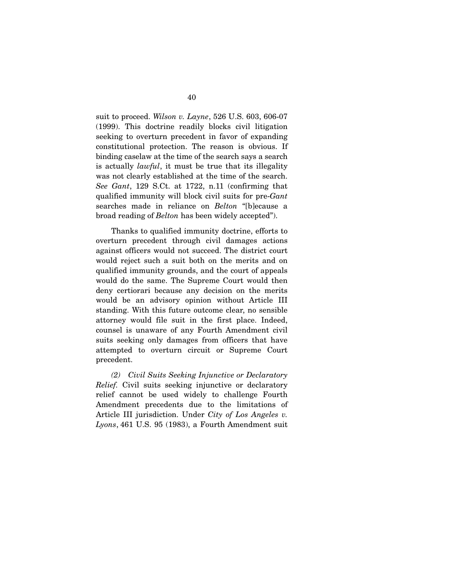suit to proceed. *Wilson v. Layne*, 526 U.S. 603, 606-07 (1999). This doctrine readily blocks civil litigation seeking to overturn precedent in favor of expanding constitutional protection. The reason is obvious. If binding caselaw at the time of the search says a search is actually *lawful*, it must be true that its illegality was not clearly established at the time of the search. *See Gant*, 129 S.Ct. at 1722, n.11 (confirming that qualified immunity will block civil suits for pre-*Gant* searches made in reliance on *Belton* "[b]ecause a broad reading of *Belton* has been widely accepted").

 Thanks to qualified immunity doctrine, efforts to overturn precedent through civil damages actions against officers would not succeed. The district court would reject such a suit both on the merits and on qualified immunity grounds, and the court of appeals would do the same. The Supreme Court would then deny certiorari because any decision on the merits would be an advisory opinion without Article III standing. With this future outcome clear, no sensible attorney would file suit in the first place. Indeed, counsel is unaware of any Fourth Amendment civil suits seeking only damages from officers that have attempted to overturn circuit or Supreme Court precedent.

*(2) Civil Suits Seeking Injunctive or Declaratory Relief.* Civil suits seeking injunctive or declaratory relief cannot be used widely to challenge Fourth Amendment precedents due to the limitations of Article III jurisdiction. Under *City of Los Angeles v. Lyons*, 461 U.S. 95 (1983), a Fourth Amendment suit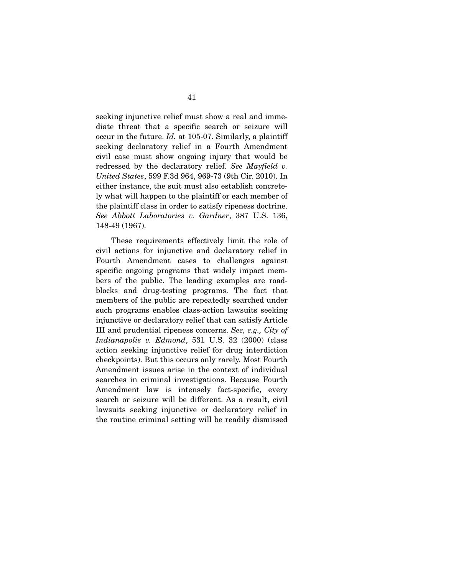seeking injunctive relief must show a real and immediate threat that a specific search or seizure will occur in the future. *Id.* at 105-07. Similarly, a plaintiff seeking declaratory relief in a Fourth Amendment civil case must show ongoing injury that would be redressed by the declaratory relief. *See Mayfield v. United States*, 599 F.3d 964, 969-73 (9th Cir. 2010). In either instance, the suit must also establish concretely what will happen to the plaintiff or each member of the plaintiff class in order to satisfy ripeness doctrine. *See Abbott Laboratories v. Gardner*, 387 U.S. 136, 148-49 (1967).

 These requirements effectively limit the role of civil actions for injunctive and declaratory relief in Fourth Amendment cases to challenges against specific ongoing programs that widely impact members of the public. The leading examples are roadblocks and drug-testing programs. The fact that members of the public are repeatedly searched under such programs enables class-action lawsuits seeking injunctive or declaratory relief that can satisfy Article III and prudential ripeness concerns. *See, e.g., City of Indianapolis v. Edmond*, 531 U.S. 32 (2000) (class action seeking injunctive relief for drug interdiction checkpoints). But this occurs only rarely. Most Fourth Amendment issues arise in the context of individual searches in criminal investigations. Because Fourth Amendment law is intensely fact-specific, every search or seizure will be different. As a result, civil lawsuits seeking injunctive or declaratory relief in the routine criminal setting will be readily dismissed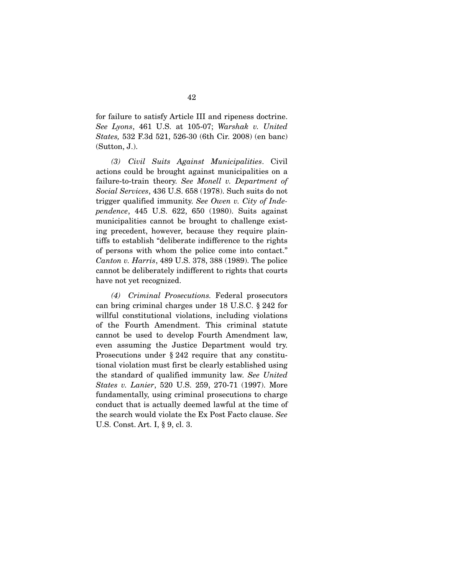for failure to satisfy Article III and ripeness doctrine. *See Lyons*, 461 U.S. at 105-07; *Warshak v. United States,* 532 F.3d 521, 526-30 (6th Cir. 2008) (en banc) (Sutton, J.).

*(3) Civil Suits Against Municipalities*. Civil actions could be brought against municipalities on a failure-to-train theory. *See Monell v. Department of Social Services*, 436 U.S. 658 (1978). Such suits do not trigger qualified immunity. *See Owen v. City of Independence*, 445 U.S. 622, 650 (1980). Suits against municipalities cannot be brought to challenge existing precedent, however, because they require plaintiffs to establish "deliberate indifference to the rights of persons with whom the police come into contact." *Canton v. Harris*, 489 U.S. 378, 388 (1989). The police cannot be deliberately indifferent to rights that courts have not yet recognized.

*(4) Criminal Prosecutions.* Federal prosecutors can bring criminal charges under 18 U.S.C. § 242 for willful constitutional violations, including violations of the Fourth Amendment. This criminal statute cannot be used to develop Fourth Amendment law, even assuming the Justice Department would try. Prosecutions under § 242 require that any constitutional violation must first be clearly established using the standard of qualified immunity law. *See United States v. Lanier*, 520 U.S. 259, 270-71 (1997). More fundamentally, using criminal prosecutions to charge conduct that is actually deemed lawful at the time of the search would violate the Ex Post Facto clause. *See* U.S. Const. Art. I, § 9, cl. 3.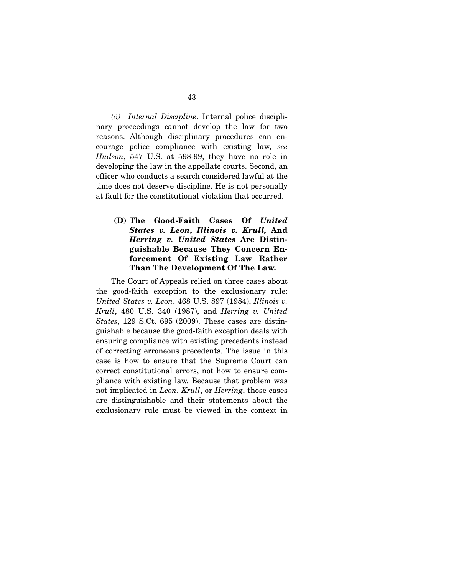*(5) Internal Discipline*. Internal police disciplinary proceedings cannot develop the law for two reasons. Although disciplinary procedures can encourage police compliance with existing law, *see Hudson*, 547 U.S. at 598-99, they have no role in developing the law in the appellate courts. Second, an officer who conducts a search considered lawful at the time does not deserve discipline. He is not personally at fault for the constitutional violation that occurred.

**(D) The Good-Faith Cases Of** *United States v. Leon***,** *Illinois v. Krull,* **And**  *Herring v. United States* **Are Distinguishable Because They Concern Enforcement Of Existing Law Rather Than The Development Of The Law.** 

The Court of Appeals relied on three cases about the good-faith exception to the exclusionary rule: *United States v. Leon*, 468 U.S. 897 (1984), *Illinois v. Krull*, 480 U.S. 340 (1987), and *Herring v. United States*, 129 S.Ct. 695 (2009). These cases are distinguishable because the good-faith exception deals with ensuring compliance with existing precedents instead of correcting erroneous precedents. The issue in this case is how to ensure that the Supreme Court can correct constitutional errors, not how to ensure compliance with existing law. Because that problem was not implicated in *Leon*, *Krull*, or *Herring*, those cases are distinguishable and their statements about the exclusionary rule must be viewed in the context in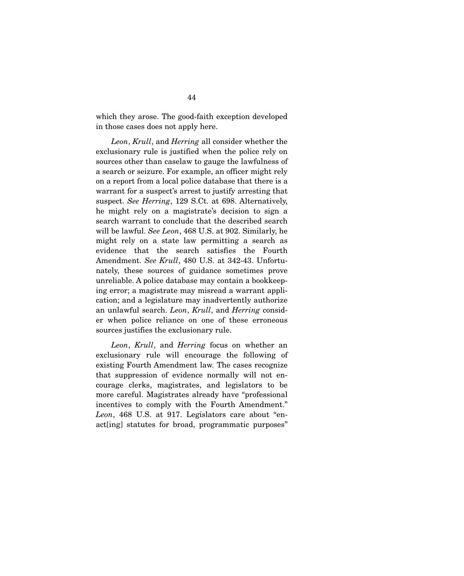which they arose. The good-faith exception developed in those cases does not apply here.

*Leon*, *Krull*, and *Herring* all consider whether the exclusionary rule is justified when the police rely on sources other than caselaw to gauge the lawfulness of a search or seizure. For example, an officer might rely on a report from a local police database that there is a warrant for a suspect's arrest to justify arresting that suspect. *See Herring*, 129 S.Ct. at 698. Alternatively, he might rely on a magistrate's decision to sign a search warrant to conclude that the described search will be lawful. *See Leon*, 468 U.S. at 902. Similarly, he might rely on a state law permitting a search as evidence that the search satisfies the Fourth Amendment. *See Krull*, 480 U.S. at 342-43. Unfortunately, these sources of guidance sometimes prove unreliable. A police database may contain a bookkeeping error; a magistrate may misread a warrant application; and a legislature may inadvertently authorize an unlawful search. *Leon*, *Krull*, and *Herring* consider when police reliance on one of these erroneous sources justifies the exclusionary rule.

*Leon*, *Krull*, and *Herring* focus on whether an exclusionary rule will encourage the following of existing Fourth Amendment law. The cases recognize that suppression of evidence normally will not encourage clerks, magistrates, and legislators to be more careful. Magistrates already have "professional incentives to comply with the Fourth Amendment." *Leon*, 468 U.S. at 917. Legislators care about "enact[ing] statutes for broad, programmatic purposes"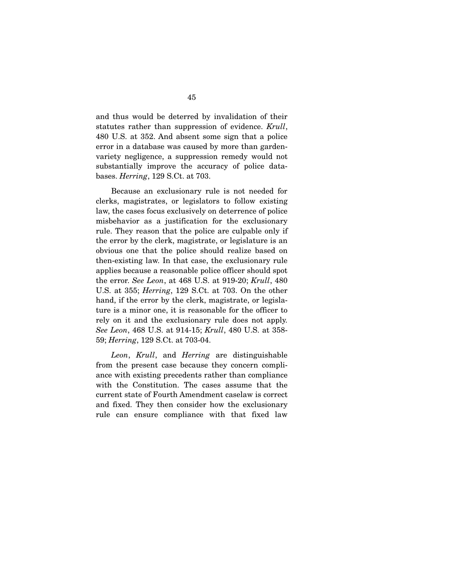and thus would be deterred by invalidation of their statutes rather than suppression of evidence. *Krull*, 480 U.S. at 352. And absent some sign that a police error in a database was caused by more than gardenvariety negligence, a suppression remedy would not substantially improve the accuracy of police databases. *Herring*, 129 S.Ct. at 703.

 Because an exclusionary rule is not needed for clerks, magistrates, or legislators to follow existing law, the cases focus exclusively on deterrence of police misbehavior as a justification for the exclusionary rule. They reason that the police are culpable only if the error by the clerk, magistrate, or legislature is an obvious one that the police should realize based on then-existing law. In that case, the exclusionary rule applies because a reasonable police officer should spot the error. *See Leon*, at 468 U.S. at 919-20; *Krull*, 480 U.S. at 355; *Herring*, 129 S.Ct. at 703. On the other hand, if the error by the clerk, magistrate, or legislature is a minor one, it is reasonable for the officer to rely on it and the exclusionary rule does not apply. *See Leon*, 468 U.S. at 914-15; *Krull*, 480 U.S. at 358- 59; *Herring*, 129 S.Ct. at 703-04.

*Leon*, *Krull*, and *Herring* are distinguishable from the present case because they concern compliance with existing precedents rather than compliance with the Constitution. The cases assume that the current state of Fourth Amendment caselaw is correct and fixed. They then consider how the exclusionary rule can ensure compliance with that fixed law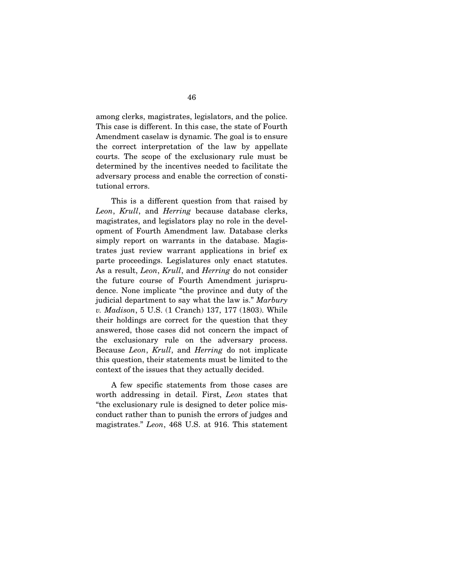among clerks, magistrates, legislators, and the police. This case is different. In this case, the state of Fourth Amendment caselaw is dynamic. The goal is to ensure the correct interpretation of the law by appellate courts. The scope of the exclusionary rule must be determined by the incentives needed to facilitate the adversary process and enable the correction of constitutional errors.

 This is a different question from that raised by *Leon*, *Krull*, and *Herring* because database clerks, magistrates, and legislators play no role in the development of Fourth Amendment law. Database clerks simply report on warrants in the database. Magistrates just review warrant applications in brief ex parte proceedings. Legislatures only enact statutes. As a result, *Leon*, *Krull*, and *Herring* do not consider the future course of Fourth Amendment jurisprudence. None implicate "the province and duty of the judicial department to say what the law is." *Marbury v. Madison*, 5 U.S. (1 Cranch) 137, 177 (1803). While their holdings are correct for the question that they answered, those cases did not concern the impact of the exclusionary rule on the adversary process. Because *Leon*, *Krull*, and *Herring* do not implicate this question, their statements must be limited to the context of the issues that they actually decided.

 A few specific statements from those cases are worth addressing in detail. First, *Leon* states that "the exclusionary rule is designed to deter police misconduct rather than to punish the errors of judges and magistrates." *Leon*, 468 U.S. at 916. This statement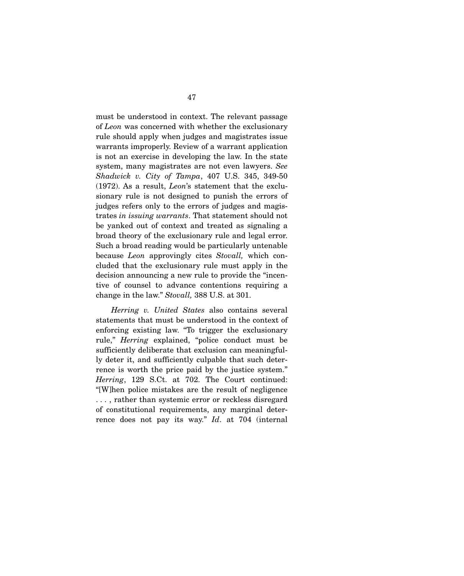must be understood in context. The relevant passage of *Leon* was concerned with whether the exclusionary rule should apply when judges and magistrates issue warrants improperly. Review of a warrant application is not an exercise in developing the law. In the state system, many magistrates are not even lawyers. *See Shadwick v. City of Tampa*, 407 U.S. 345, 349-50 (1972). As a result, *Leon*'s statement that the exclusionary rule is not designed to punish the errors of judges refers only to the errors of judges and magistrates *in issuing warrants*. That statement should not be yanked out of context and treated as signaling a broad theory of the exclusionary rule and legal error. Such a broad reading would be particularly untenable because *Leon* approvingly cites *Stovall,* which concluded that the exclusionary rule must apply in the decision announcing a new rule to provide the "incentive of counsel to advance contentions requiring a change in the law." *Stovall,* 388 U.S. at 301.

*Herring v. United States* also contains several statements that must be understood in the context of enforcing existing law. "To trigger the exclusionary rule," *Herring* explained, "police conduct must be sufficiently deliberate that exclusion can meaningfully deter it, and sufficiently culpable that such deterrence is worth the price paid by the justice system." *Herring*, 129 S.Ct. at 702. The Court continued: "[W]hen police mistakes are the result of negligence . . . , rather than systemic error or reckless disregard of constitutional requirements, any marginal deterrence does not pay its way." *Id*. at 704 (internal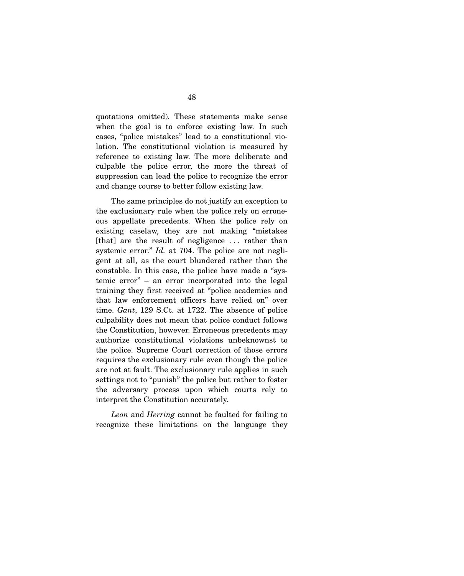quotations omitted). These statements make sense when the goal is to enforce existing law. In such cases, "police mistakes" lead to a constitutional violation. The constitutional violation is measured by reference to existing law. The more deliberate and culpable the police error, the more the threat of suppression can lead the police to recognize the error and change course to better follow existing law.

 The same principles do not justify an exception to the exclusionary rule when the police rely on erroneous appellate precedents. When the police rely on existing caselaw, they are not making "mistakes [that] are the result of negligence . . . rather than systemic error." *Id.* at 704. The police are not negligent at all, as the court blundered rather than the constable. In this case, the police have made a "systemic error" – an error incorporated into the legal training they first received at "police academies and that law enforcement officers have relied on" over time. *Gant*, 129 S.Ct. at 1722. The absence of police culpability does not mean that police conduct follows the Constitution, however. Erroneous precedents may authorize constitutional violations unbeknownst to the police. Supreme Court correction of those errors requires the exclusionary rule even though the police are not at fault. The exclusionary rule applies in such settings not to "punish" the police but rather to foster the adversary process upon which courts rely to interpret the Constitution accurately.

*Leon* and *Herring* cannot be faulted for failing to recognize these limitations on the language they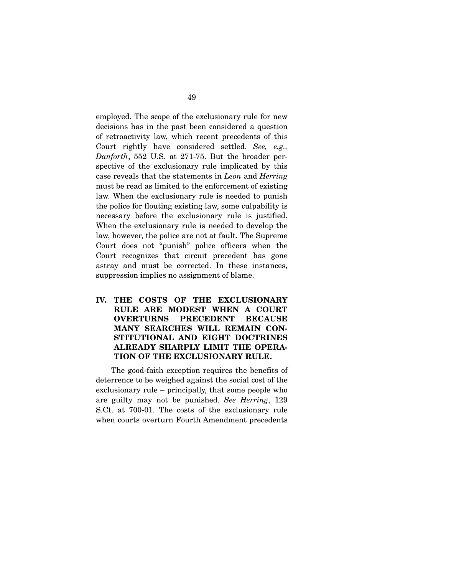employed. The scope of the exclusionary rule for new decisions has in the past been considered a question of retroactivity law, which recent precedents of this Court rightly have considered settled. *See, e.g., Danforth*, 552 U.S. at 271-75. But the broader perspective of the exclusionary rule implicated by this case reveals that the statements in *Leon* and *Herring* must be read as limited to the enforcement of existing law. When the exclusionary rule is needed to punish the police for flouting existing law, some culpability is necessary before the exclusionary rule is justified. When the exclusionary rule is needed to develop the law, however, the police are not at fault. The Supreme Court does not "punish" police officers when the Court recognizes that circuit precedent has gone astray and must be corrected. In these instances, suppression implies no assignment of blame.

# **IV. THE COSTS OF THE EXCLUSIONARY RULE ARE MODEST WHEN A COURT OVERTURNS PRECEDENT BECAUSE MANY SEARCHES WILL REMAIN CON-STITUTIONAL AND EIGHT DOCTRINES ALREADY SHARPLY LIMIT THE OPERA-TION OF THE EXCLUSIONARY RULE.**

The good-faith exception requires the benefits of deterrence to be weighed against the social cost of the exclusionary rule – principally, that some people who are guilty may not be punished. *See Herring*, 129 S.Ct. at 700-01. The costs of the exclusionary rule when courts overturn Fourth Amendment precedents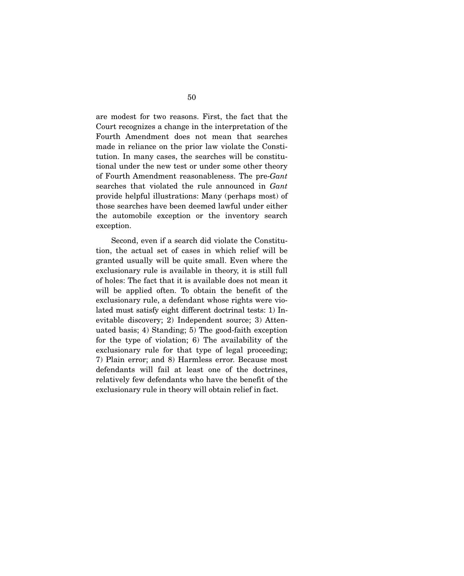are modest for two reasons. First, the fact that the Court recognizes a change in the interpretation of the Fourth Amendment does not mean that searches made in reliance on the prior law violate the Constitution. In many cases, the searches will be constitutional under the new test or under some other theory of Fourth Amendment reasonableness. The pre-*Gant*  searches that violated the rule announced in *Gant* provide helpful illustrations: Many (perhaps most) of those searches have been deemed lawful under either the automobile exception or the inventory search exception.

 Second, even if a search did violate the Constitution, the actual set of cases in which relief will be granted usually will be quite small. Even where the exclusionary rule is available in theory, it is still full of holes: The fact that it is available does not mean it will be applied often. To obtain the benefit of the exclusionary rule, a defendant whose rights were violated must satisfy eight different doctrinal tests: 1) Inevitable discovery; 2) Independent source; 3) Attenuated basis; 4) Standing; 5) The good-faith exception for the type of violation; 6) The availability of the exclusionary rule for that type of legal proceeding; 7) Plain error; and 8) Harmless error. Because most defendants will fail at least one of the doctrines, relatively few defendants who have the benefit of the exclusionary rule in theory will obtain relief in fact.

50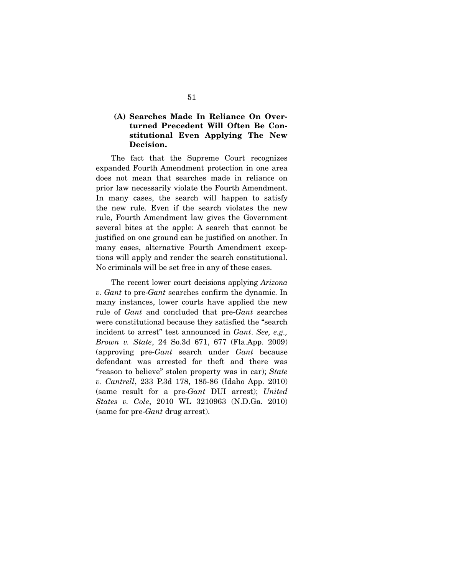# **(A) Searches Made In Reliance On Overturned Precedent Will Often Be Constitutional Even Applying The New Decision.**

The fact that the Supreme Court recognizes expanded Fourth Amendment protection in one area does not mean that searches made in reliance on prior law necessarily violate the Fourth Amendment. In many cases, the search will happen to satisfy the new rule. Even if the search violates the new rule, Fourth Amendment law gives the Government several bites at the apple: A search that cannot be justified on one ground can be justified on another. In many cases, alternative Fourth Amendment exceptions will apply and render the search constitutional. No criminals will be set free in any of these cases.

 The recent lower court decisions applying *Arizona v*. *Gant* to pre-*Gant* searches confirm the dynamic. In many instances, lower courts have applied the new rule of *Gant* and concluded that pre-*Gant* searches were constitutional because they satisfied the "search incident to arrest" test announced in *Gant*. *See, e.g., Brown v. State*, 24 So.3d 671, 677 (Fla.App. 2009) (approving pre-*Gant* search under *Gant* because defendant was arrested for theft and there was "reason to believe" stolen property was in car); *State v. Cantrell*, 233 P.3d 178, 185-86 (Idaho App. 2010) (same result for a pre-*Gant* DUI arrest); *United States v. Cole*, 2010 WL 3210963 (N.D.Ga. 2010) (same for pre-*Gant* drug arrest).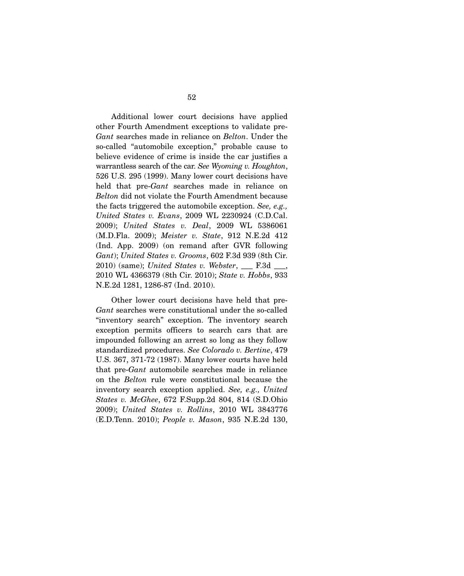Additional lower court decisions have applied other Fourth Amendment exceptions to validate pre-*Gant* searches made in reliance on *Belton*. Under the so-called "automobile exception," probable cause to believe evidence of crime is inside the car justifies a warrantless search of the car. *See Wyoming v. Houghton*, 526 U.S. 295 (1999). Many lower court decisions have held that pre-*Gant* searches made in reliance on *Belton* did not violate the Fourth Amendment because the facts triggered the automobile exception. *See, e.g., United States v. Evans*, 2009 WL 2230924 (C.D.Cal. 2009); *United States v. Deal*, 2009 WL 5386061 (M.D.Fla. 2009); *Meister v. State*, 912 N.E.2d 412 (Ind. App. 2009) (on remand after GVR following *Gant*); *United States v. Grooms*, 602 F.3d 939 (8th Cir. 2010) (same); *United States v. Webster*, \_\_\_ F.3d \_\_\_, 2010 WL 4366379 (8th Cir. 2010); *State v. Hobbs*, 933 N.E.2d 1281, 1286-87 (Ind. 2010).

 Other lower court decisions have held that pre-*Gant* searches were constitutional under the so-called "inventory search" exception. The inventory search exception permits officers to search cars that are impounded following an arrest so long as they follow standardized procedures. *See Colorado v. Bertine*, 479 U.S. 367, 371-72 (1987). Many lower courts have held that pre-*Gant* automobile searches made in reliance on the *Belton* rule were constitutional because the inventory search exception applied. *See, e.g., United States v. McGhee*, 672 F.Supp.2d 804, 814 (S.D.Ohio 2009); *United States v. Rollins*, 2010 WL 3843776 (E.D.Tenn. 2010); *People v. Mason*, 935 N.E.2d 130,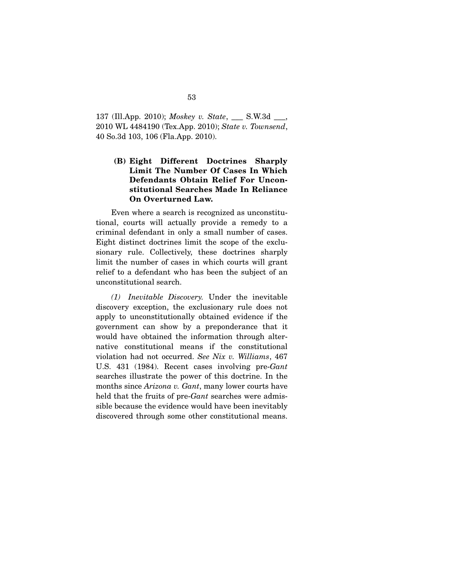137 (Ill.App. 2010); *Moskey v. State*, \_\_\_ S.W.3d \_\_\_, 2010 WL 4484190 (Tex.App. 2010); *State v. Townsend*, 40 So.3d 103, 106 (Fla.App. 2010).

# **(B) Eight Different Doctrines Sharply Limit The Number Of Cases In Which Defendants Obtain Relief For Unconstitutional Searches Made In Reliance On Overturned Law.**

Even where a search is recognized as unconstitutional, courts will actually provide a remedy to a criminal defendant in only a small number of cases. Eight distinct doctrines limit the scope of the exclusionary rule. Collectively, these doctrines sharply limit the number of cases in which courts will grant relief to a defendant who has been the subject of an unconstitutional search.

*(1) Inevitable Discovery.* Under the inevitable discovery exception, the exclusionary rule does not apply to unconstitutionally obtained evidence if the government can show by a preponderance that it would have obtained the information through alternative constitutional means if the constitutional violation had not occurred. *See Nix v. Williams*, 467 U.S. 431 (1984). Recent cases involving pre-*Gant* searches illustrate the power of this doctrine. In the months since *Arizona v. Gant*, many lower courts have held that the fruits of pre-*Gant* searches were admissible because the evidence would have been inevitably discovered through some other constitutional means.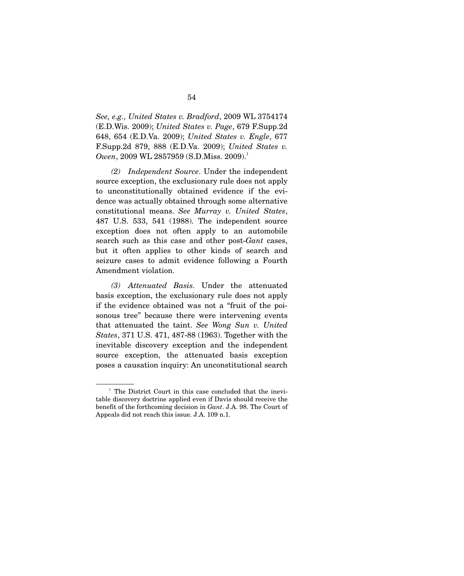*See, e.g., United States v. Bradford*, 2009 WL 3754174 (E.D.Wis. 2009); *United States v. Page*, 679 F.Supp.2d 648, 654 (E.D.Va. 2009); *United States v. Engle*, 677 F.Supp.2d 879, 888 (E.D.Va. 2009); *United States v. Owen*, 2009 WL 2857959 (S.D.Miss. 2009).<sup>1</sup>

*(2) Independent Source*. Under the independent source exception, the exclusionary rule does not apply to unconstitutionally obtained evidence if the evidence was actually obtained through some alternative constitutional means. *See Murray v. United States*, 487 U.S. 533, 541 (1988). The independent source exception does not often apply to an automobile search such as this case and other post-*Gant* cases, but it often applies to other kinds of search and seizure cases to admit evidence following a Fourth Amendment violation.

*(3) Attenuated Basis.* Under the attenuated basis exception, the exclusionary rule does not apply if the evidence obtained was not a "fruit of the poisonous tree" because there were intervening events that attenuated the taint. *See Wong Sun v. United States*, 371 U.S. 471, 487-88 (1963). Together with the inevitable discovery exception and the independent source exception, the attenuated basis exception poses a causation inquiry: An unconstitutional search

<sup>&</sup>lt;sup>1</sup> The District Court in this case concluded that the inevitable discovery doctrine applied even if Davis should receive the benefit of the forthcoming decision in *Gant*. J.A. 98. The Court of Appeals did not reach this issue. J.A. 109 n.1.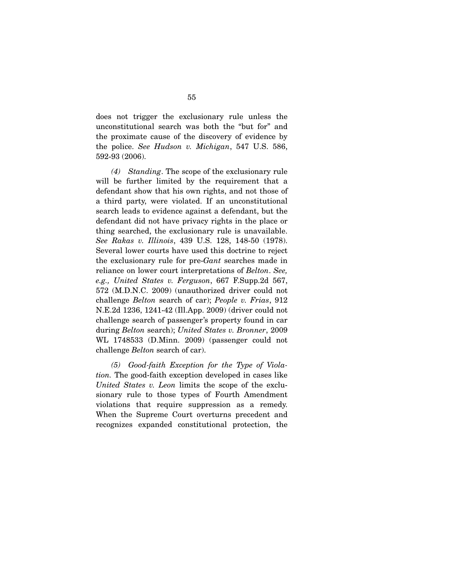does not trigger the exclusionary rule unless the unconstitutional search was both the "but for" and the proximate cause of the discovery of evidence by the police. *See Hudson v. Michigan*, 547 U.S. 586, 592-93 (2006).

*(4) Standing*. The scope of the exclusionary rule will be further limited by the requirement that a defendant show that his own rights, and not those of a third party, were violated. If an unconstitutional search leads to evidence against a defendant, but the defendant did not have privacy rights in the place or thing searched, the exclusionary rule is unavailable. *See Rakas v. Illinois*, 439 U.S. 128, 148-50 (1978). Several lower courts have used this doctrine to reject the exclusionary rule for pre-*Gant* searches made in reliance on lower court interpretations of *Belton*. *See, e.g., United States v. Ferguson*, 667 F.Supp.2d 567, 572 (M.D.N.C. 2009) (unauthorized driver could not challenge *Belton* search of car); *People v. Frias*, 912 N.E.2d 1236, 1241-42 (Ill.App. 2009) (driver could not challenge search of passenger's property found in car during *Belton* search); *United States v. Bronner*, 2009 WL 1748533 (D.Minn. 2009) (passenger could not challenge *Belton* search of car).

*(5) Good-faith Exception for the Type of Violation.* The good-faith exception developed in cases like *United States v. Leon* limits the scope of the exclusionary rule to those types of Fourth Amendment violations that require suppression as a remedy. When the Supreme Court overturns precedent and recognizes expanded constitutional protection, the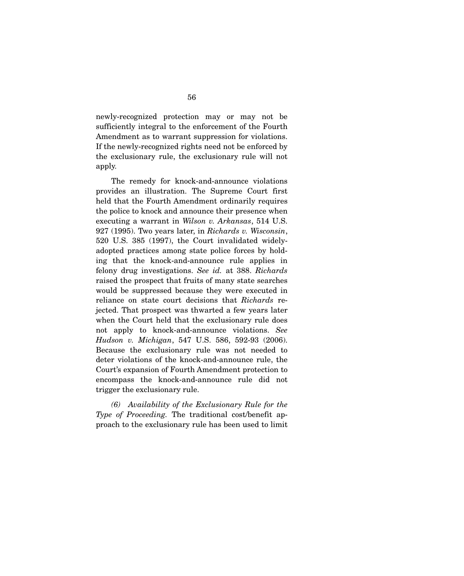newly-recognized protection may or may not be sufficiently integral to the enforcement of the Fourth Amendment as to warrant suppression for violations. If the newly-recognized rights need not be enforced by the exclusionary rule, the exclusionary rule will not apply.

 The remedy for knock-and-announce violations provides an illustration. The Supreme Court first held that the Fourth Amendment ordinarily requires the police to knock and announce their presence when executing a warrant in *Wilson v. Arkansas*, 514 U.S. 927 (1995). Two years later, in *Richards v. Wisconsin*, 520 U.S. 385 (1997), the Court invalidated widelyadopted practices among state police forces by holding that the knock-and-announce rule applies in felony drug investigations. *See id.* at 388. *Richards* raised the prospect that fruits of many state searches would be suppressed because they were executed in reliance on state court decisions that *Richards* rejected. That prospect was thwarted a few years later when the Court held that the exclusionary rule does not apply to knock-and-announce violations. *See Hudson v. Michigan*, 547 U.S. 586, 592-93 (2006). Because the exclusionary rule was not needed to deter violations of the knock-and-announce rule, the Court's expansion of Fourth Amendment protection to encompass the knock-and-announce rule did not trigger the exclusionary rule.

*(6) Availability of the Exclusionary Rule for the Type of Proceeding.* The traditional cost/benefit approach to the exclusionary rule has been used to limit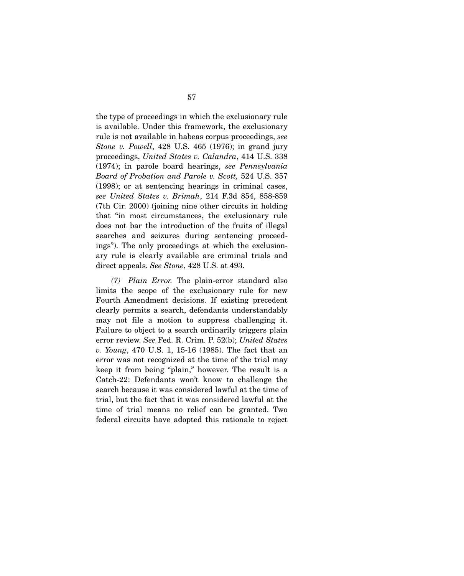the type of proceedings in which the exclusionary rule is available. Under this framework, the exclusionary rule is not available in habeas corpus proceedings, *see Stone v. Powell*, 428 U.S. 465 (1976); in grand jury proceedings, *United States v. Calandra*, 414 U.S. 338 (1974); in parole board hearings, *see Pennsylvania Board of Probation and Parole v. Scott,* 524 U.S. 357 (1998); or at sentencing hearings in criminal cases, *see United States v. Brimah*, 214 F.3d 854, 858-859 (7th Cir. 2000) (joining nine other circuits in holding that "in most circumstances, the exclusionary rule does not bar the introduction of the fruits of illegal searches and seizures during sentencing proceedings"). The only proceedings at which the exclusionary rule is clearly available are criminal trials and direct appeals. *See Stone*, 428 U.S. at 493.

*(7) Plain Error.* The plain-error standard also limits the scope of the exclusionary rule for new Fourth Amendment decisions. If existing precedent clearly permits a search, defendants understandably may not file a motion to suppress challenging it. Failure to object to a search ordinarily triggers plain error review. *See* Fed. R. Crim. P. 52(b); *United States v. Young*, 470 U.S. 1, 15-16 (1985). The fact that an error was not recognized at the time of the trial may keep it from being "plain," however. The result is a Catch-22: Defendants won't know to challenge the search because it was considered lawful at the time of trial, but the fact that it was considered lawful at the time of trial means no relief can be granted. Two federal circuits have adopted this rationale to reject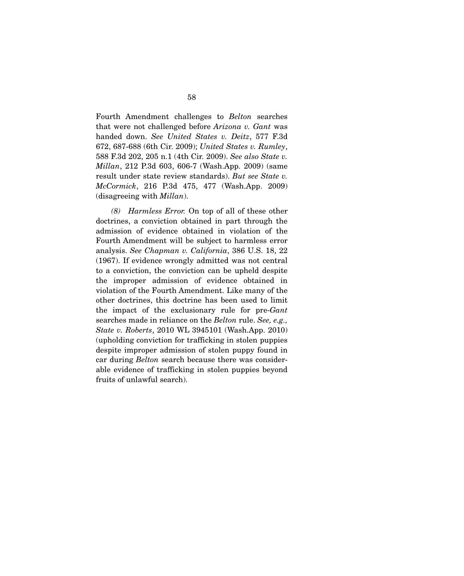Fourth Amendment challenges to *Belton* searches that were not challenged before *Arizona v. Gant* was handed down. *See United States v. Deitz*, 577 F.3d 672, 687-688 (6th Cir. 2009); *United States v. Rumley*, 588 F.3d 202, 205 n.1 (4th Cir. 2009). *See also State v. Millan*, 212 P.3d 603, 606-7 (Wash.App. 2009) (same result under state review standards). *But see State v. McCormick*, 216 P.3d 475, 477 (Wash.App. 2009) (disagreeing with *Millan*).

*(8) Harmless Error.* On top of all of these other doctrines, a conviction obtained in part through the admission of evidence obtained in violation of the Fourth Amendment will be subject to harmless error analysis. *See Chapman v. California*, 386 U.S. 18, 22 (1967). If evidence wrongly admitted was not central to a conviction, the conviction can be upheld despite the improper admission of evidence obtained in violation of the Fourth Amendment. Like many of the other doctrines, this doctrine has been used to limit the impact of the exclusionary rule for pre-*Gant* searches made in reliance on the *Belton* rule. *See, e.g., State v. Roberts*, 2010 WL 3945101 (Wash.App. 2010) (upholding conviction for trafficking in stolen puppies despite improper admission of stolen puppy found in car during *Belton* search because there was considerable evidence of trafficking in stolen puppies beyond fruits of unlawful search).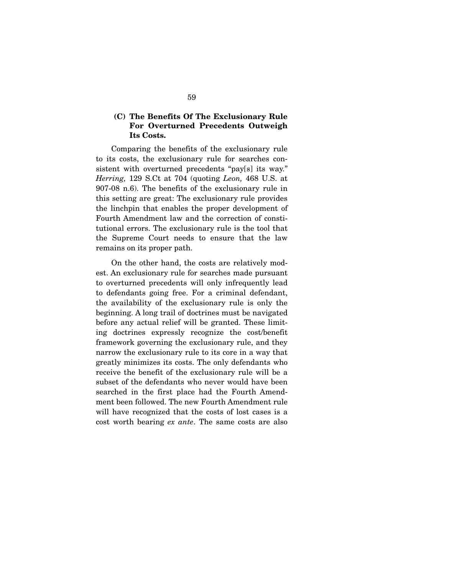## **(C) The Benefits Of The Exclusionary Rule For Overturned Precedents Outweigh Its Costs.**

Comparing the benefits of the exclusionary rule to its costs, the exclusionary rule for searches consistent with overturned precedents "pay[s] its way." *Herring,* 129 S.Ct at 704 (quoting *Leon,* 468 U.S. at 907-08 n.6). The benefits of the exclusionary rule in this setting are great: The exclusionary rule provides the linchpin that enables the proper development of Fourth Amendment law and the correction of constitutional errors. The exclusionary rule is the tool that the Supreme Court needs to ensure that the law remains on its proper path.

 On the other hand, the costs are relatively modest. An exclusionary rule for searches made pursuant to overturned precedents will only infrequently lead to defendants going free. For a criminal defendant, the availability of the exclusionary rule is only the beginning. A long trail of doctrines must be navigated before any actual relief will be granted. These limiting doctrines expressly recognize the cost/benefit framework governing the exclusionary rule, and they narrow the exclusionary rule to its core in a way that greatly minimizes its costs. The only defendants who receive the benefit of the exclusionary rule will be a subset of the defendants who never would have been searched in the first place had the Fourth Amendment been followed. The new Fourth Amendment rule will have recognized that the costs of lost cases is a cost worth bearing *ex ante*. The same costs are also

59